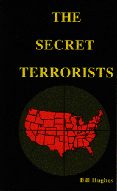

# **SECRET TERRORISTS**

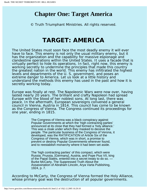### **Chapter One: Target America**

© Truth Triumphant Ministries. All rights reserved.

# **TARGET: AMERICA**

The United States must soon face the most deadly enemy it will ever have to face. This enemy is not only the usual military enemy, but it has the organization and the capability for massive espionage and clandestine operations within the United States. It uses a facade that is virtually perfect to hide its operations. In fact, right now, this enemy is working secretly to undermine the principles that made this country the greatest nation in the world. This enemy has infiltrated the highest levels and departments of the U. S. government, and poses an extreme danger to America. Let us look at a little history and understand the methods this enemy has used in the past and how it is secretly working today.

Europe was finally at rest. The Napoleonic Wars were now over, having lasted nearly 20 years. The brilliant and crafty Napoleon had spread Europe with the blood of her noblest sons. At long last, there was peace. In the aftermath, European sovereigns convened a general council in Vienna, Austria in 1814. This council has come to be known as the Congress of Vienna. The Congress continued its proceedings for one year, ending in 1815.

> The Congress of Vienna was a black conspiracy against Popular Governments at which the 'high contracting parties' announced at its close that they had formed a 'holy alliance.' This was a cloak under which they masked to deceive the people. The particular business of the Congress of Verona, it developed, was the RATIFICATION of Article Six of the Congress of Vienna, which was in short, a promise to prevent or destroy Popular Governments wherever found, and to reestablish monarchy where it had been set aside.

> The 'high contracting parties' of this compact, which were Russia, Prussia, [Germany], Austria, and Pope Pius VII, king of the Papal States, entered into a secret treaty to do so. — Burke McCarty, The Suppressed Truth About the Assassination of Abraham Lincoln, Arya Varta Publishing, 1924, p. 7.

According to McCarty, the Congress of Vienna formed the Holy Alliance, whose primary goal was the destruction of all popular governments.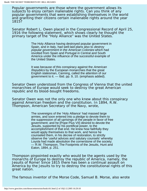Popular governments are those where the government allows its subjects to enjoy certain inalienable rights. Can you think of any popular governments that were establishing themselves in the world and granting their citizens certain inalienable rights around the year 1815?

Senator Robert L. Owen placed in the Congressional Record of April 25, 1916 the following statement, which shows clearly he thought the primary target of the "Holy Alliance" was the United States.

> The Holy Alliance having destroyed popular government in Spain, and in Italy, had well-laid plans also to *destroy* popular government in the American Colonies which had revolted from Spain and Portugal in Central and South America under the influence of the successful example of the United States.

It was because of this conspiracy against the American Republics by the European monarchies that the great English statesman, Canning, called the attention of our government to it. — Ibid. pp. 9, 10. (emphasis added).

Senator Owen understood from the Congress of Vienna that the united monarchies of Europe would seek to destroy the great American republic and its blood-bought freedoms.

Senator Owen was not the only one who knew about this conspiracy against American freedom and the constitution. In 1894, R.W. Thompson, American Secretary of the Navy, wrote,

> The sovereigns of the 'Holy Alliance' had massed large armies, and soon entered into a pledge to devote them to the suppression of all uprisings of the people in favor of free government; and he [Pope Pius VII] desired to devote the Jesuits, supported by his pontifical power, to the accomplishment of that end. He knew how faithfully they would apply themselves to that work, and hence he counseled them, in his decree of restoration, to strictly observe the 'useful advices and salutary counsels' whereby Loyola had made absolution the cornerstone of the society. — R.W. Thompson, The Footprints of the Jesuits, Hunt and Eaton, 1894, p. 251.

Thompson pinpointed exactly who would be the agents used by the monarchs of Europe to destroy the republic of America, namely, the Jesuits of Rome! Since 1815 there has been a continual assault on America by the Jesuits to try to destroy the constitutional rights of this great nation.

The famous inventor of the Morse Code, Samuel B. Morse, also wrote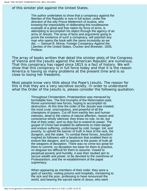#### of this sinister plot against the United States.

The author undertakes to show that a conspiracy against the liberties of this Republic is now in full action, under the direction of the wily Prince Metternich of Austria, who knowing the impossibility of obliterating this troublesome example of a great and free nation by force of arms, is attempting to accomplish his object through the agency of an army of Jesuits. The array of facts and arguments going to prove the existence of such a conspiracy, will astonish any man who opens the book with the same incredulity as we did. — Samuel B. Morse, Foreign Conspiracy Against the Liberties of the United States, Crocker and Brewster, 1835, Preface.

The array of books written that detail the sinister plots of the Congress of Vienna and the Jesuits against the American Republic are numerous. That this conspiracy has raged since 1815 is a fact of history. We will show that this conspiracy is in full force today and that it is the reason America is having so many problems at the present time and is so close to losing her freedoms.

Most people know very little about the Pope's Jesuits. The reason for this is that they are a very secretive society. In order to understand what the Order of the Jesuits is, please consider the following quotation.

> Throughout Christendom, Protestantism was menaced by formidable foes. The first triumphs of the Reformation past, Rome summoned new forces, hoping to accomplish its destruction. At this time the order of the Jesuits was created, the most cruel, unscrupulous, and powerful of all the champions of popery. Cut off from earthly ties and human interests, dead to the claims of natural affection, reason and conscience wholly silenced, they knew no rule, no tie, but that of their order, and no duty but to extend its power. The gospel of Christ had enabled its adherents to meet danger and endure suffering, undismayed by cold, hunger, toil, and poverty, to uphold the banner of truth in face of the rack, the dungeon, and the stake. To combat these forces, Jesuitism inspired its followers with a fanaticism that enabled them to endure like dangers, and to oppose to the power of truth all the weapons of deception. There was no crime too great for them to commit, no deception too base for them to practice, no disguise too difficult for them to assume. Vowed to perpetual poverty and humility, it was their studied aim to secure wealth and power, to be devoted to the overthrow of Protestantism, and the re-establishment of the papal supremacy.

> When appearing as members of their order, they wore a garb of sanctity, visiting prisons and hospitals, ministering to the sick and the poor, professing to have renounced the world, and bearing the sacred name of Jesus, who went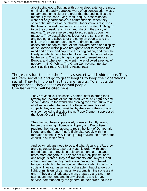about doing good. But under this blameless exterior the most criminal and deadly purposes were often concealed. It was a fundamental principle of the order that the end justifies the means. By this code, lying, theft, perjury, assassination, were not only pardonable but commendable, when they served the interests of the church. Under various disguises the Jesuits worked their way into offices of state, climbing up to be the counselors of kings, and shaping the policy of nations. They became servants to act as spies upon their masters. They established colleges for the sons of princes and nobles, and schools for the common people; and the children of Protestant parents were drawn into an observance of popish rites. All the outward pomp and display of the Romish worship was brought to bear to confuse the mind and dazzle and captivate the imagination, and thus the liberty for which the fathers had toiled and bled was betrayed by the sons. The Jesuits rapidly spread themselves over Europe, and wherever they went, there followed a revival of popery. — E. G. White, The Great Controversy, pp. 234, 235, Pacific Press Publishing Assn., 1911.

The Jesuits function like the Papacy's secret world-wide police. They are very secretive and go to great lengths to keep their operations secret. They tell no one that they are Jesuits. To all outside appearances, they appear as normal people. One last author will be cited here.

> They are Jesuits. This society of men, after exerting their tyranny for upwards of two hundred years, at length became so formidable to the world, threatening the entire subversion of all social order, that even the Pope, whose devoted subjects they are, and must be, by the vow of their society, was compelled to dissolve them. [Pope Clement suppressed the Jesuit Order in 1773.]

> They had not been suppressed, however, for fifty years, before the waning influence of Popery and Despotism required their useful labors, to resist the light of Democratic liberty, and the Pope [Pius VII] simultaneously with the formation of the Holy Alliance, [1815] revived the order of the Jesuits in all their power…

And do Americans need to be told what Jesuits are?… they are a secret society, a sort of Masonic order, with super added features of revolting odiousness, and a thousand times more dangerous. They are not merely priests, or of one religious creed; they are merchants, and lawyers, and editors, and men of any profession, having no outward badge by which to be recognized; they are about in all your society. They can assume any character, that of angels of light, or ministers of darkness, to accomplish their one great end… They are all educated men, prepared and sworn to start at any moment, and in any direction, and for any service, commanded by the general of their order, bound to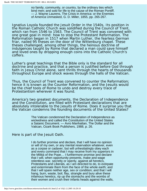no family, community, or country, by the ordinary ties which bind men; and sold for life to the cause of the Roman Pontiff. — J. Wayne Laurens, The Crisis in America: or the Enemies of America Unmasked, G. D. Miller, 1855, pp. 265-267.

Ignatius Loyola founded the Jesuit Order in the 1540s. Its position in the Roman Catholic Church was solidified during the Council of Trent, which ran from 1546 to 1563. The Council of Trent was convened with one great goal in mind: how to stop the Protestant Reformation. The Reformation began in 1517 when Martin Luther, the fearless German friar, nailed 95 theses on the door of the Wittenburg chapel. These theses challenged, among other things, the heinous doctrine of indulgences taught by Rome that declared a man could save himself and loved ones by dropping enough coins into the Catholic Church's coffers.

Luther's great teachings that the Bible only is the standard for all doctrine and practice, and that a person is justified before God through faith in Jesus Christ alone, sent thrills through the hearts of thousands throughout Europe and shock waves through the halls of the Vatican.

Thus, the Council of Trent was convened to counter the Reformation; hence it is known as the Counter Reformation, and the Jesuits would be the chief tools of Rome to undo and destroy every trace of Protestantism wherever it was found.

America's two greatest documents, the Declaration of Independence and the Constitution, are filled with Protestant declarations that are absolutely intolerable to the Jesuits of Rome. Does it surprise you that the Vatican condemns the founding documents of the United States?

> The Vatican condemned the Declaration of Independence as wickedness and called the Constitution of the United States a Satanic Document. — Avro Manhattan, The Dollar and the Vatican, Ozark Book Publishers, 1988, p. 26.

Here is part of the Jesuit Oath.

I do further promise and declare, that I will have no opinion or will of my own, or any mental reservation whatever, even as a corpse or cadaver, but will unhesitatingly obey each and every command that I may receive from my superiors in the Militia of the Pope… I furthermore promise and declare that I will, when opportunity presents, make and wage relentless war, secretly or openly, against all heretics, Protestants and Liberals, as I am directed to do, to extirpate and exterminate them from the face of the whole earth; and that I will spare neither age, sex or condition; and that I will hang, burn, waste, boil, flay, strangle and bury alive these infamous heretics, rip up the stomachs and the wombs of their women and crush their infants heads against the walls,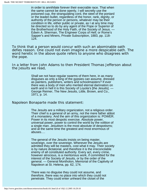in order to annihilate forever their execrable race. That when the same cannot be done openly, I will secretly use the poisoned cup, the strangulating cord, the steel of the poniard or the leaden bullet, regardless of the honor, rank, dignity, or authority of the person or persons, whatever may be their condition in life, either public or private, as I at any time may be directed so to do by any agent of the Pope or Superior of the Brotherhood of the Holy Faith, of the Society of Jesus. — Edwin A. Sherman, The Engineer Corps of Hell; or Rome's Sapper's and Miners, Private Subscription, 1883, pp. 118- 124.

To think that a person would concur with such an abominable oath defies reason. One could not even imagine a more despicable oath. The word heretic in the above quote refers to anyone who disagrees with the pope.

In a letter from John Adams to then President Thomas Jefferson about the Jesuits we read,

> Shall we not have regular swarms of them here, in as many disguises as only a king of the gypsies can assume, dressed as painters, publishers, writers and schoolmasters? If ever there was a body of men who merited eternal damnation on earth and in hell it is this Society of Loyola's [the Jesuits]. — George Reimer, The New Jesuits, Little, Brown, and Co., 1971, p. 14.

Napoleon Bonaparte made this statement:

The Jesuits are a military organization, not a religious order. Their chief is a general of an army, not the mere father abbot of a monastery. And the aim of this organization is: POWER. Power in its most despotic exercise. Absolute power, universal power, power to control the world by the volition of a single man. Jesuitism is the most absolute of despotisms; and at the same time the greatest and most enormous of abuses….

The general of the Jesuits insists on being master, sovereign, over the sovereign. Wherever the Jesuits are admitted they will be masters, cost what it may. Their society is by nature dictatorial, and therefore it is the irreconcilable enemy of all constituted authority. Every act, every crime, however atrocious, is a meritorious work, if committed for the interest of the Society of Jesuits, or by the order of the general. — General Montholon, Memorial of the Captivity of Napoleon at St. Helena, pp. 62, 174.

There was no disguise they could not assume, and therefore, there was no place into which they could not penetrate. They could enter unheard the closet of the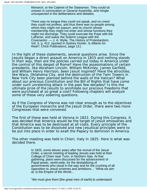Monarch, or the Cabinet of the Statesman. They could sit unseen in convocation or General Assembly, and mingle unsuspected in the deliberations and debates.

There was no tongue they could not speak, and no creed they could not profess, and thus there was no people among whom they might not sojourn, and no church whose membership they might not enter and whose functions they might not discharge. They could execrate the Pope with the Lutheran, and swear the Solemn League with the Covenantor. — J. A. Wylie, The History of Protestantism, Vol. II, p. 412. (quoted in Sydney Hunter, Is Alberto for Real?, Chick Publications, page 13.)

In the light of these statements, several questions arise. Since the Jesuits began a direct assault on America in 1815 and nothing stands in their way, then are the policies carried out today in America under the control of this despot of Rome? Have the assassinations of certain presidents, like Abraham Lincoln, William McKinley, James Garfield, and William Henry Harrison, been Jesuit inspired? Have the atrocities, like Waco, Oklahoma City, and the destruction of the Twin Towers in New York City been planned behind the walls of the Vatican? What about our precious Constitution and the Bill of Rights that have come under such unrelenting attack in the past few decades? Is this the ultimate prize of the Jesuits to annihilate our precious freedoms that were purchased at so great a cost? Following chapters will analyze some of these very sobering questions.

As if the Congress of Vienna was not clear enough as to the objectives of the European monarchs and the Jesuit Order, there were two more Congresses that were convened.

The first of these was held at Verona in 1822. During this Congress, it was decided that America would be the target of Jesuit emissaries and that America was to be destroyed at all costs. Every principle of the Constitution was to be dissolved and new Jesuitical principles were to be put into place in order to exalt the Papacy to dominion in America.

The other meeting was held in Chieri, Italy in 1825. Here is what was decided there.

> In 1825, some eleven years after the revival of the Jesuit Order, a secret meeting of leading Jesuits was held at their College of Chieri near Turin, in Northern Italy. At that gathering, plans were discussed for the advancement of Papal power, world-wide, for the destabilizing of governments who stood in the way and for the crushing of all opposition to Jesuit schemes and ambitions… "What we aim at, is the Empire of the World…

"We must give them [the great men of earth] to understand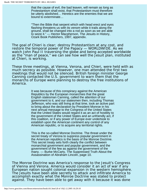that the cause of evil, the bad leaven, will remain as long as Protestantism shall exist, that Protestantism must therefore be utterly abolished… Heretics are the enemies that we are bound to exterminate…

"Then the Bible that serpent which with head erect and eyes flashing threatens us with its venom while it trails along the ground, shall be changed into a rod as soon as we are able to seize it." — Hector Macpherson, The Jesuits in History, Ozark Book Publishers, 1997, appendix.

The goal of Chieri is clear; destroy Protestantism at any cost, and restore the temporal power of the Papacy — WORLDWIDE. As we watch John Paul II traversing the globe and being accepted worldwide as the "man of peace," we can see how well the Jesuit plan, instituted at Chieri, is working.

These three meetings, at Vienna, Verona, and Chieri, were held with as much secrecy as possible. However, one man attended the first two meetings that would not be silenced. British foreign minister George Canning contacted the U.S. government to warn them that the monarchs of Europe were planning to destroy the free institutions of America.

> It was because of this conspiracy against the American Republics by the European monarchies that the great English statesman Canning, called the attention of our government to it, and our statesmen then, including Thomas Jefferson, who was still living at that time, took an active part to bring about the declaration by President Monroe in his next annual message to the Congress of the United States that the United States would regard it as an act of hostility to the government of the United States and an unfriendly act, if this coalition, or if any power of Europe ever undertook to establish upon the American continent any control of any American republic, or to acquire any territorial rights.

This is the so-called Monroe Doctrine. The threat under the secret treaty of Verona to suppress popular government in the American republics is the basis of the Monroe Doctrine. This secret treaty sets forth clearly the conflict between monarchial government and popular government, and the government of the few as against the government of the many. — Burke McCarty, The Suppressed Truth About the Assassination of Abraham Lincoln, page 10.

The Monroe Doctrine was America's response to the Jesuit's Congress of Vienna and Verona. America would consider it an act of war if any European nation sought colonial expansion in the western hemisphere. The Jesuits have been able secretly to attack and infiltrate America to accomplish exactly what the Monroe Doctrine was stated to protect against. They have been able to get away with it because it was done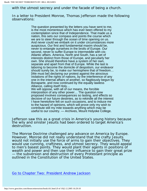with the utmost secrecy and under the facade of being a church.

In a letter to President Monroe, Thomas Jefferson made the following observations:

> The question presented by the letters you have sent to me, is the most momentous which has ever been offered to my contemplation since that of Independence. That made us a nation, this sets our compass and points the course which we are to steer through the ocean of time opening on us. And never could we embark on it under circumstances more auspicious. Our first and fundamental maxim should be, never to entangle ourselves in the broils of Europe. Our second, never to suffer Europe to intermeddle with cis-Atlantic affairs. America, North and South, has a set of interests distinct from those of Europe, and peculiarly her own. She should therefore have a system of her own, separate and apart from that of Europe. While the last is laboring to become the domicile of despotism, our endeavor should surely be, to make our hemisphere that of freedom… [We must be] declaring our protest against the atrocious violations of the rights of nations, by the interference of any one in the internal affairs of another, so flagitiously begun by Bonaparte, and now continued by the equally lawless Alliance, calling itself Holy… We will oppose, with all of our means, the forcible

interposition of any other power… The question now proposed involves consequences so lasting, and effects so decisive of our future destinies, as to rekindle all the interest I have heretofore felt on such occasions, and to induce me to the hazard of opinions, which will prove only my wish to contribute still my mite towards anything which may be useful to our country. — Archives, Mount Holyoke College.

Jefferson saw this as a great crisis in America's young history because the wily and sinister Jesuits had been ordered to target America's destruction.

The Monroe Doctrine challenged any advance on America by Europe. However, Monroe did not really understand that the crafty Jesuits would not initially use the force of arms to gain their objectives. They would use cunning, craftiness, and utmost secrecy. They would appeal to men's basest points. They would plant their agents in positions of wealth and power and then use their influence to gain their great prize — the subversion and destruction of every Protestant principle as outlined in the Constitution of the United States.

[Go to Chapter Two: President Andrew Jackson](#page-11-0)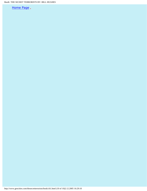### [Home Page](http://www.geocities.com/thesecretterrorists).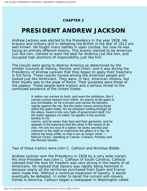### **CHAPTER 2**

## <span id="page-11-0"></span>**PRESIDENT ANDREW JACKSON**

Andrew Jackson was elected to the Presidency in the year 1828. His bravery and military skill in defeating the British in the War of 1812 are well known. He fought many battles in open combat, but now he was facing an entirely different enemy. This enemy claimed to be American just like him, claimed to want the best for America just like him, and occupied high positions of responsibility just like him.

The Jesuits were going to destroy America as determined by the sinister Councils at Vienna, Verona, and Chieri, and it was during the Presidency of Andrew Jackson that they began to apply their treachery in full force. These Jesuits moved among the American people and looked just like Americans. They were, in fact, American citizens, but their loyalty was to the pope of Rome. Their purposes were those of the papacy. These people were traitors and a serious threat to the continued existence of the United States.

> A nation can survive its fools, and even the ambitious. But it cannot survive treason from within. An enemy at the gates is less formidable, for he is known and carries his banners openly against the city. But the traitor moves among those within the gates freely, his sly whispers rustling through all the alleys, heard in the very halls of government itself. For the traitor appears no traitor; he speaks in the accents familiar to his

victims, and he wears their face and their garments, and he appeals to the baseness that lies deep in the hearts of all men. He rots the soul of a nation; he works secretly and unknown in the night to undermine the pillars of a city; he infects the body politic so that it can no longer resist. — Marcus Cicero, speaking to Caesar, Crassus, Pompey and the Roman Senate.

Two of these traitors were John C. Calhoun and Nicholas Biddle.

Andrew Jackson won the Presidency in 1828 by a very wide margin. His Vice-President was John C. Calhoun of South Carolina. Calhoun realized that the love for freedom was very strong in the hearts of all Americans. He realized that slavery was rapidly being hemmed in because nearly all the territories purchased from Spain and France were made free. Without a continual expansion of slavery, it would eventually be defeated. In order to derail the current anti-slavery trends in America, Calhoun began a newspaper in Washington called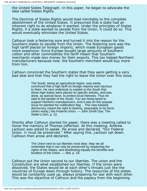the United States Telegraph. In this paper, he began to advocate the idea called States Rights.

The Doctrine of States Rights would lead inevitably to the complete abolishment of the United States. It presumed that a state had an inherent right to do whatever it wanted. Under the principles of States Rights, if a state wanted to secede from the Union, it could do so. This would eventually eliminate the United States.

Calhoun took a festering sore and turned it into the reason for the Southern states to secede from the Union. The festering sore was the high tariff placed on foreign imports, which made European goods more expensive. Since Europe bought large amounts of Southern cotton and other commodities the tariff meant that Southern merchants made less money for their exports. This tax helped Northern manufacturers because now, the Southern merchant would buy more from him.

Calhoun convinced the Southern states that they were getting a very bad deal and that they had the right to leave the Union over this issue.

> The South, being an agricultural region, was easily convinced that a high tariff on foreign imports was injurious to them. He next undertook to explain to the South that these high duties were placed on specific articles, and was done, as special favor, to protect local interests. Thus he said to the people of the South, You are being taxed to support Northern manufacturers. And it was on this popular issue he planted his nullification flag… This new bastard democracy meant the right to destroy, peaceably or by force, (when ready,) the Federal Union. — John Smith Dye, The Adder's Den, p. 22.

Shortly after Calhoun started his paper, there was a meeting called to honor the memory of Thomas Jefferson. At this meeting, Andrew Jackson was asked to speak. He arose and declared, "Our Federal Union. It must be preserved." After saying this, Jackson sat down. Calhoun then arose and declared,

> The Union next to our liberties most dear. May we all remember that it can only be preserved by respecting the rights of the States, and distributing equally the benefits and burdens of the Union. — Ibid. p. 19.

Calhoun put the Union second to our liberties. The union and the Constitution are what established our liberties. If the Union were dissolved, the States would be at each other's throats just like the countries of Europe down through history. The resources of the states would be constantly used up, always preparing for war with each other. This was the objective of Calhoun and the papacy from the beginning.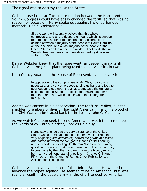Their goal was to destroy the United States.

Calhoun used the tariff to create friction between the North and the South. Congress could have easily changed the tariff, so that was no reason for secession. Many spoke out against his underhanded methods. Daniel Webster said:

> Sir, the world will scarcely believe that this whole controversy, and all the desperate means which its support requires, has no other foundation than a difference of opinion between a majority of the people of South Carolina on the one side, and a vast majority of the people of the United States on the other. The world will not credit the fact. We who hear and see it can ourselves hardly yet believe it. — Ibid, p. 25.

Daniel Webster knew that the issue went far deeper than a tariff. Calhoun was the Jesuit plant being used to split America in two!

John Quincy Adams in the House of Representatives declared:

In opposition to the compromise of Mr. Clay, no victim is necessary, and yet you propose to bind us hand and foot, to pour out our blood upon the altar, to appease the unnatural discontent of the South — a discontent having deeper root than the Tariff, and will continue when that is forgotten. — Ibid, p. 25.

Adams was correct in his observation. The tariff issue died, but the smoldering embers of division had split America in half. The blood of the Civil War can be traced back to the Jesuit, John C. Calhoun.

As we watch Calhoun seek to rend America in two, let us remember the words of ex-Catholic priest, Charles Chiniquy.

> Rome saw at once that the very existence of the United States was a formidable menace to her own life. From the very beginning she perfidiously sowed the germs of division and hatred between the two great sections of this country and succeeded in dividing South from North on the burning question of slavery. That division was her golden opportunity to crush one by the other, and reign over the bloody ruins of both, a favored, long-standing policy. — Charles Chiniquy, Fifty Years in the Church of Rome, Chick Publications, p. 291, emphasis supplied.

Calhoun was not a loyal citizen of the United States. He worked to advance the pope's agenda. He seemed to be an American, but, was really a Jesuit in the pope's army in the effort to destroy America.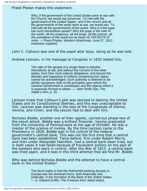Priest Phelan makes this statement.

Why, if the government of the United States were at war with the Church, we would say tomorrow, 'To Hell with the government of the United States;' and if the church and all the governments of the world were at war, we would say: 'To Hell with all the governments of the world.' Why is it the pope has such tremendous power? Why the pope is the ruler of the world. All the emperors, all the kings, all the princes, all the presidents of the world are as these ALTAR BOYS of mine. — Priest Phelan, Western Watchman, June 27, 1912, emphasis supplied.

John C. Calhoun was one of the papal altar boys, doing as he was told.

Andrew Jackson, in his message to Congress in 1832 stated this:

The right of the people of a single State to absolve themselves at will, and without the consent of the other states, from their most solemn obligations, and hazard the liberties and happiness of millions comprising this nation, cannot be acknowledged. Such authority is believed to be wholly repugnant, both to the principles upon which the General Government is constituted, and the objects which it is expressly formed to obtain. — John Smith Dye, The Adder's Den, p. 25.

Jackson knew that Calhoun's plot was devised to destroy the United States and its Constitutional liberties, and this was unacceptable to him. Jackson was standing in the way of the Congresses of Vienna, Verona, and Chieri, and the Jesuits had to deal with him.

Nicholas Biddle, another one of their agents, carried out phase two of the Jesuit attack. Biddle was a brilliant financier, having graduated from the University of Pennsylvania at the age of thirteen. He was a master of the science of money. By the time Jackson came to the Presidency in 1828, Biddle was in full control of the Federal government's central bank. This was not the first time that a central bank had been established. Twice before, first under Robert Morris, and then under Alexander Hamilton, had a central bank been tried, but in both cases it had failed because of fraudulent actions on the part of the bankers who were in control. After the War of 1812, a central bank was tried again, and it was in this third attempt that we find Mr. Biddle.

Who was behind Nicholas Biddle and the attempt to have a central bank in the United States?

> The blunt reality is that the Rothschild banking dynasty in Europe was the dominant force, both financially and politically, in the formation of the Bank of the United States. — G. Edward Griffin, The Creature from Jekyll Island,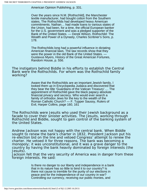American Opinion Publishing, p. 331.

Over the years since N.M. [Rothschild], the Manchester textile manufacturer, had bought cotton from the Southern states, The Rothschilds had developed heavy American commitments. Nathan… had made loans to various states of the Union, had been, for a time, the official European banker for the U.S. government and was a pledged supporter of the Bank of the United States. — Derek Wilson, Rothschild: The Wealth and Power of a Dynasty, Charles Scribner's Sons, p. 178.

The Rothschilds long had a powerful influence in dictating American financial laws. The law records show that they were the power in the old Bank of the United States. — Gustavus Myers, History of the Great American Fortunes, Random House, p. 556.

The instigators behind Biddle in his efforts to establish the Central Bank were the Rothschilds. For whom was the Rothschild family working?

> Aware that the Rothschilds are an important Jewish family, I looked them up in Encyclopedia Judaica and discovered that they bear the title 'Guardians of the Vatican Treasury'…. The appointment of Rothschild gave the black papacy absolute financial privacy and secrecy. Who would ever search a family of orthodox Jews for the key to the wealth of the Roman Catholic Church? — F. Tupper Saussy, Rulers of Evil, Harper Collins, page 160, 161

The Rothschilds were Jesuits who used their Jewish background as a facade to cover their sinister activities. The Jesuits, working through Rothschild and Biddle, sought to gain control of the banking system of the United States.

Andrew Jackson was not happy with the central bank. When Biddle sought to renew the bank's charter in 1832, President Jackson put his re-election bid on the line and vetoed Congress' attempt to renew the charter. He vetoed it for three reasons. The bank was becoming a monopoly; it was unconstitutional, and it was a grave danger to the country by having the bank heavily dominated by foreign interests (the Jesuits).

Jackson felt that the very security of America was in danger from these foreign interests. He said:

> Is there no danger to our liberty and independence in a bank that in its nature has so little to bind it to our country? Is there not cause to tremble for the purity of our elections in peace and for the independence of our country in war? Controlling our currency, receiving our public monies, and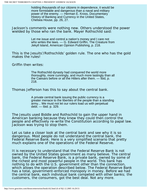holding thousands of our citizens in dependence, it would be more formidable and dangerous than a naval and military power of the enemy. — Herman E. Kross, Documentary History of Banking and Currency in the United States, Chelsea House, pp. 26, 27.

Jackson's comments were nothing new. Others understood the power wielded by those who ran the bank. Mayer Rothschild said:

> Let me issue and control a nation's money and I care not who writes the laws. — G. Edward Griffin, The Creature from Jekyll Island, American Opinion Publishing, p. 218.

This is the Jesuits'/Rothschilds' golden rule. The one who has the gold makes the rules!

Griffin then writes:

The Rothschild dynasty had conquered the world more thoroughly, more cunningly, and much more lastingly than all the Caesars before or all the Hitlers after them. — Ibid, p. 218.

Thomas Jefferson has this to say about the central bank.

A private central bank issuing the public currency is a greater menace to the liberties of the people than a standing army... We must not let our rulers load us with perpetual debt. — Ibid. p. 329.

The Jesuits used Biddle and Rothschild to gain the upper hand in American banking because they knew they could then control the people and effectively re-write the Constitution according to papal law. Jackson was trying to stop them.

Let us take a closer look at the central bank and see why it is so dangerous. Most people do not understand the central bank, the Federal Reserve Bank. Here is a very simplified scenario that pretty much explains one of the operations of the Federal Reserve.

It is necessary to understand that the Federal Reserve Bank is not owned by the United States government as many believe. The central bank, the Federal Reserve Bank, is a private bank, owned by some of the richest and most powerful people in the world. This bank has nothing to do with the U.S. government other than the connection, which allows the operation described below. The Federal Reserve Bank has a total, government-enforced monopoly in money. Before we had the central bank, each individual bank competed with other banks; the customers, the consumers, got the best deal. Not any more.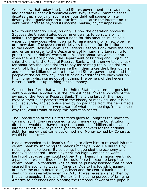We all know that today the United States government borrows money and operates under astronomical debt. Why is this? Common sense dictates that a policy of such enormous debt will sooner or later destroy the organization that practices it, because the interest on its debt must increase beyond its income, making payoff impossible.

Now to our scenario. Here, roughly, is how the operation proceeds. Suppose the United States government wants to borrow a billion dollars. The government issues a bond for this amount, much as a water company does when it wants to raise money for a new pipeline or a new dam. The government delivers this bond for the billion dollars to the Federal Reserve Bank. The Federal Reserve Bank takes the bond and writes an order to the Department of Printing and Engraving to print the billion dollars' worth of bills. After about two weeks or so, when the bills are printed, the Department of Printing and Engraving ships the bills to the Federal Reserve Bank, which then writes a check for about two thousand dollars to pay for printing the billion dollars' worth of bills. The Federal Reserve Bank then takes the billion dollars and lends the billion dollars to the United States government, and the people of the country pay interest at an exorbitant rate each year on this money, which came out of nothing. The owners of the Federal Reserve Bank put up nothing for this money.

We see, therefore, that when the United States government goes into debt one dollar, a dollar plus the interest goes into the pockets of the owners of the Federal Reserve Bank. This is the largest, the most colossal theft ever perpetrated in the history of mankind, and it is so slick, so subtle, and so obfuscated by propaganda from the news media that the victims are not even aware of what is happening. You can see why the Jesuits want to keep this operation secret.

The Constitution of the United States gives to Congress the power to coin money. If Congress coined its own money as the Constitution directs, it would not have to pay the hundreds of billions of dollars of interest that it now pays each year to the bankers for the national debt, for money that came out of nothing. Money coined by Congress would be debt free.

Biddle responded to Jackson's refusing to allow him to re-establish the central bank by shrinking the nations money supply. He did this by refusing to make loans. By so doing, he upended the economy and money disappeared. Unemployment ran high. Companies went bankrupt because they could not pay their loans. The nation went into a panic depression. Biddle felt he could force Jackson to keep the central bank. So confident was he that he publicly boasted that he had caused the economic woes in America. Due to his foolish bragging, others came out in defense of Jackson and the central bank died. It died until its re-establishment in 1913. It was re-established then by the same people, (Jesuits of Rome) for the same purpose of bringing America to her knees and planting the temporal power of the pope in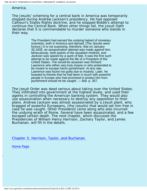#### America.

The Jesuits' scheming for a central bank in America was temporarily stopped during Andrew Jackson's presidency. He had opposed Calhoun's States Rights doctrine, and he stopped Biddle's attempt to continue the Central Bank. When other things fail, the Jesuit Oath declares that it is commendable to murder someone who stands in their way.

> The President had earned the undying hatred of monetary scientists, both in America and abroad. [The Jesuits were furious.] It is not surprising, therefore, that on January 30,1835, an assassination attempt was made against him. Miraculously, both pistols of the assailant misfired, and Jackson was spared by a quirk of fate. It was the first such attempt to be made against the life of a President of the United States. The would-be assassin was Richard Lawrence who either was truly insane or who pretended to be insane to escape harsh punishment. At any rate, Lawrence was found not guilty due to insanity. Later, he boasted to friends that he had been in touch with powerful people in Europe who had promised to protect him from punishment should he be caught. — Ibid. p. 357.

The Jesuit Order was dead serious about taking over the United States. They infiltrated into government at the highest levels, and used their agents in controlling the American banking system. They would also use assassination when necessary to destroy any opposition to their plans. Andrew Jackson was almost assassinated by a Jesuit plant, who bragged of powerful Europeans, (the Jesuits) that would set him free in case he was caught. Other Presidents came along who also incurred the undying wrath of Rome. Several have been assassinated, and a few escaped certain death. The next chapter, which discusses the Presidencies of William Henry Harrison, Zachary Taylor, and James Buchanan, will fill in the details.

[Chapter 3: Harrison, Taylor, and Buchanan](#page-19-0) 

[Home Page](http://www.geocities.com/thesecretterrorists)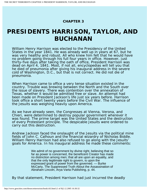#### **CHAPTER 3**

## <span id="page-19-0"></span>**PRESIDENTS HARRISON, TAYLOR, AND BUCHANAN**

William Henry Harrison was elected to the Presidency of the United States in the year 1841. He was already well up in years at 67, but he was very healthy and robust. All who knew him felt that he would have no problem going through his full four years in office. However, just thirty-five days after taking the oath of office, President Harrison was dead on April 4, 1841. Most, if not all, encyclopedias will tell you that he died of pneumonia after giving his inaugural address in the severe cold of Washington, D.C., but that is not correct. He did not die of pneumonia.

When Harrison came to office a very tense situation existed in the country. Trouble was brewing between the North and the South over the issue of slavery. There was contention over the annexation of Texas, whether it would be admitted free or slave. An attempt had been made on President Jackson's life just six years before. Harrison took office a short twenty years before the Civil War. The influence of the Jesuits was weighing heavily upon America.

As we have already seen, the Congresses at Vienna, Verona, and Chieri, were determined to destroy popular government wherever it was found. The prime target was the United States and the destruction of every Protestant principle. The despicable Jesuits were ordered to carry out this destruction.

Andrew Jackson faced the onslaught of the Jesuits via the political mine fields of John C. Calhoun and the financial wizardry of Nicholas Biddle. William Henry Harrison had also refused to go along with the Jesuits' goals for America. In his inaugural address he made these comments:

> We admit of no government by divine right, believing that so far as power is concerned, the beneficent Creator has made no distinction among men; that all are upon an equality, and that the only legitimate right to govern, is upon the expressed grant of power from the governed. — Burke McCarty, The Suppressed Truth About the Assassination of Abraham Lincoln, Arya Varta Publishing, p. 44.

By that statement, President Harrison had just incurred the deadly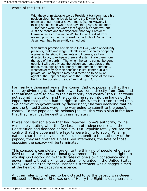wrath of the Jesuits.

With these unmistakable words President Harrison made his position clear; he hurled defiance to the Divine Right enemies of our Popular Government. [Burke McCarty is talking about Rome when she says that.] Aye, he did more — for those were the words that signed his death warrant. Just one month and five days from that day, President Harrison lay a corpse in the White House. He died from arsenic poisoning, administered by the tools of Rome. The Jesuit oath had been swiftly carried out:

"I do further promise and declare that I will, when opportunity presents, make and wage, relentless war, secretly or openly, against all heretics, Protestants and Liberals, as I am directed to do, to extirpate them and exterminate them from the face of the earth.... That when the same cannot be done openly, I will secretly use the poison cup regardless of the honor, rank, dignity or authority of the person or persons... whatsoever may be their condition in life, either public or private, as I at any time may be directed so to do by an agent of the Pope or Superior of the Brotherhood of the Holy Faith of the Society of Jesus." — Ibid. pp. 44, 46.

For nearly a thousand years, the Roman Catholic popes felt that they ruled by divine right, that their power had come directly from God, and that all men were to bow to their authority and control. If a ruler would not submit his position and the country he ruled into the hands of the Pope, then that person had no right to rule. When Harrison stated that, "we admit of no government by divine right," he was declaring that he and the United States were in no way going to submit to the pope's control. To the pope and his heinous Jesuits, this was a slap in the face that they felt must be dealt with immediately.

It was not Harrison alone that had rejected Rome's authority, for he was simply stating what the Declaration of Independence and the Constitution had declared before him. Our Republic totally refused the control that the pope and the Jesuits were trying to apply. When a nation, church, or individual, refuses to submit to the authority of the papacy, they are finished. Unless God intervenes, the lives of those opposing the papacy will be terminated.

This concept is completely foreign to the thinking of people who have lived under a free, constitutional government. The inalienable rights to worship God according to the dictates of one's own conscience and a government without a king, are taken for granted in the United States today. We don't realize that Harrison's statement was a dagger aimed at the heart of the papacy's existence.

Another ruler who refused to be dictated to by the papacy was Queen Elizabeth of England. She was one of Henry the Eighth's daughters and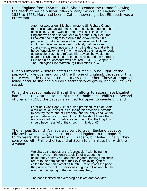ruled England from 1558 to 1603. She ascended the throne following the death of her half-sister, 'Bloody Mary,' who ruled England from 1553 to 1558. Mary had been a Catholic sovereign, but Elizabeth was a Protestant.

> After her accession, Elizabeth wrote to Sir Richard Crane, the English ambassador in Rome, to notify the people of her accession. But she was informed by 'His Holiness' that England was a fief [servant or slave] of the 'Holy See,' that Elizabeth had no right to assume the crown without his permission, that she was not born in lawful wedlock, and could not therefore reign over England; that her safest course was to renounce all claims to the throne, and submit herself entirely to his will; then he would treat her as tenderly as possible. But, if she refused his 'advice,' he would not spare her! She declined the pope's advice, and the hatred of Pius and his successors was assured. — J.E.C. Shepherd, The Babington Plot, Wittenburg Publications, p. 46.

Queen Elizabeth wisely rejected the assumed 'Divine Right' of the papacy to rule over and control the throne of England. Because of this there were at least five attempts to assassinate her. These attempts all failed because she had a superb secret service group, and her life was saved.

When the papacy realized that all their efforts to assassinate Elizabeth had failed, they turned to one of their Catholic sons, Phillip the Second of Spain. In 1580 the papacy arranged for Spain to invade England.

> Later on it was Pope Sixtus X who promised Philip of Spain a million scudi to assist in equipping his 'Invincible Armada' to destroy the throne of Elizabeth, and the only condition the pope made in bestowment of his gift: 'he should have the nomination of the English sovereign, and that the kingdom should become a fief of the church.' — Ibid, p. 47.

The famous Spanish Armada was sent to crush England because Elizabeth would not give her throne and kingdom to the pope. For thirty years, the Jesuits tried to kill Elizabeth, but failed. Finally, they conspired with Phillip the Second of Spain to annihilate her with the Armada.

> We charge the popes of the 'succession' with being the prime movers in the entire adult life of Elizabeth to deliberately destroy her and her kingdom, forcing England's return to the domination of their evil, enslaving system, called the 'Roman Catholic Church.' Not only was the pope the prime mover of the seditious intrigues in England, but he was the mainspring of the ongoing treachery.

The pope insisted on exercising absolute authority and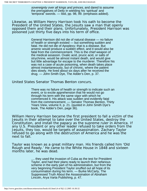sovereignty over all kings and princes, and dared to assume the prerogatives of Deity in wielding his 'spiritual' and 'temporal' swords. — Ibid, pp. 98, 99. (emphasis added).

Likewise, as William Henry Harrison took his oath to become the President of the United States, the Jesuits saw a man that openly opposed them and their plans. Unfortunately, President Harrison was poisoned just thirty five days into his term of office.

> General Harrison did not die of natural disease — no failure of health or strength existed — but something sudden and fatal. He did not die of Apoplexy; that is a disease. But arsenic would produce a sudden effect, and it would also be fatal from the commencement. This is the chief weapon of the medical assassin. Oxalic acid, prucic acid, or salts of strychnine, would be almost instant death, and would give but little advantage for escape to the murderer. Therefore his was not a case of acute poisoning, when death takes place almost instantaneously, but of chronic, where the patient dies slowly. He lived about six days after he received the drug. — John Smith Dye, The Adder's Den, p. 37.

United States Senator Thomas Benton concurs.

There was no failure of health or strength to indicate such an event, or to excite apprehension that he would not go through his term with the same vigor with which he commenced it. His attack was sudden and evidently fatal from the commencement. — Senator Thomas Benton, Thirty Years View, volume II, p. 21. (quoted in John Smith Dye's book, The Adder's Den, page 36).

William Henry Harrison became the first president to fall a victim of the Jesuits in their attempt to take over the United States, destroy the Constitution, and install the papacy as the supreme ruler in America. If any U.S. President or any other leader refused to take orders from the Jesuits, they too, would be targets of assassination. Zachary Taylor refused to go along with the destruction of America and he was the next to fall.

Taylor was known as a great military man. His friends called him 'Old Rough and Ready.' He came to the White House in 1848 and sixteen months later, he was dead.

> .... they used the invasion of Cuba as the test for President Taylor, and had their plans ready to launch their nefarious scheme in the early part of his administration, but from the very beginning President Taylor snuffed out all hope of its consummation during his term. — Burke McCarty, The Suppressed Truth About the Assassination of Abraham Lincoln, Arya Varta Publishing, p. 47.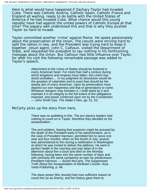Here is what would have happened if Zachary Taylor had invaded Cuba. There was Catholic Austria, Catholic Spain, Catholic France and England all waiting, ready to do battle with the United States of America if he had invaded Cuba. What chance would this young republic have had against the united powers of Catholic Europe at that time? The papacy well understood this and that is why they pushed Taylor so hard to invade.

Taylor committed another 'crime' against Rome. He spoke passionately about the preservation of the Union. The Jesuits were striving hard to split the nation in two, and the President was trying hard to keep it together. Jesuit agent, John C. Calhoun, visited the Department of State, and requested the president to say nothing in his forthcoming message about the Union. But Calhoun had little influence over Taylor, for after his visit the following remarkable passage was added to Taylor's speech,

> Attachment to the Union of States should be fostered in every American heart. For more than half a century during which kingdoms and empires have fallen, this Union has stood unshaken.... In my judgment its dissolution would be the greatest of calamities and to avert that should be the steady aim of every American. Upon its preservation must depend our own happiness and that of generations to come. Whatever dangers may threaten it, I shall stand by it and maintain it in its integrity to the full extent of the obligations imposed, and power conferred upon me by the Constitution. — John Smith Dye, The Adder's Den, pp. 51, 52.

McCarty picks up the story from here,

There was no quibbling in this. The pro slavery leaders had nothing to count on in Taylor, therefore they decided on his assassination…

The arch-plotters, fearing that suspicion might be aroused by the death of the President early in his administration, as in the case of President Harrison, permitted him to serve one year and four months, when on the fourth of July, arsenic was administered to him during a celebration in Washington at which he was invited to deliver the address. He went in perfect health in the morning and was taken ill in the afternoon about five o'clock and died on the Monday following, having been sick the same number of days and with precisely the same symptoms as was his predecessor, President Harrison. — Burke McCarty, The Suppressed Truth About the Assassination of Abraham Lincoln, Arya Varta Publishing, p. 48.

The slave power [the Jesuits] had now sufficient reason to count him as an enemy, and his history gave them to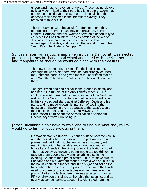understand that he never surrendered. Those having slavery politically committed to their care had long before sworn that no person should ever occupy the Presidential chair that opposed their schemes in the interest of slavery. They resolved to take his life....

This the slave power [the Jesuits] understood, and they determined to serve him as they had previously served General Harrison; and only waited a favorable opportunity to carry out their hellish intent. The celebration of the 4th of July was near at hand; and it was resolved to take advantage of that day, and give him the fatal drug. — John Smith Dye, The Adder's Den, pp. 52,53.

Six years later James Buchanan, a Pennsylvania Democrat, was elected president. James Buchanan had wined and dined with the Southerners and it appeared as though he would go along with their desires.

> The new president proved himself a decided 'Trimmer.' Although he was a Northern man, he had strongly courted the Southern leaders and given them to understand that he was 'With them heart and soul,' in short, he double-crossed them...

> The gentleman had had his ear to the ground evidently and had heard the rumble of the Abolitionists' wheels.... He coolly informed them that he was President of the North, as well as of the South. This change of attitude was indicated by his very decided stand against Jefferson Davis and his party, and he made known his intention of settling the question of Slavery in the Free States to the satisfaction of the people in those States. — Burke McCarty, The Suppressed Truth About the Assassination of Abraham Lincoln, Arya Varta Publishing, p. 50.

James Buchanan didn't have to wait long to find out what the Jesuits would do to him for double-crossing them.

> On Washington's birthday, Buchanan's stand became known and the next day he was poisoned. The plot was deep and planned with skill. Mr. Buchanan, as was customary with men in his station, had a table and chairs reserved for himself and friends in the dining room at the National Hotel. The President was known to be an inveterate tea drinker; in fact, Northern people rarely drink anything else in the evening. Southern men prefer coffee. Thus, to make sure of Buchanan and his Northern friends, arsenic was sprinkled in the bowls containing the tea and lump sugar and set on the table where he was to sit. The pulverized sugar in the bowls used for coffee on the other tables was kept free from the poison. Not a single Southern man was affected or harmed. Fifty or sixty persons dined at the table that evening, and as nearly as can be learned, about thirty-eight died from the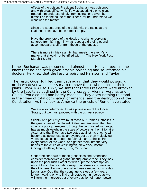effects of the poison. President Buchanan was poisoned, and with great difficulty his life was saved. His physicians treated him understandingly from instructions given by himself as to the cause of the illness, for he understood well what was the matter.

Since the appearance of the epidemic, the tables at the National Hotel have been almost empty.

Have the proprietors of the Hotel, or clerks, or servants, suffered from it? If not, in what respect did their diet and accommodations differ from those of the guests?

There is more in this calamity than meets the eye. It's a matter that should not be trifled with. — The New York Post, March 18, 1857.

James Buchanan was poisoned and almost died. He lived because he knew that he had been given arsenic poisoning and so informed his doctors. He knew that the Jesuits poisoned Harrison and Taylor.

The Jesuit Order fulfilled their oath again that they would poison, kill, or do whatever was necessary to remove those who opposed their plans. From 1841 to 1857, we saw that three Presidents were attacked by the Jesuits as outlined in the Congresses of Vienna, Verona, and Chieri. Two died and one barely escaped. They allow nothing to stand in their way of total domination of America, and the destruction of the Constitution. As they look at America the priests of Rome have stated,

> We are also determined to take possession of the United States; but we must proceed with the utmost secrecy.

Silently and patiently, we must mass our Roman Catholics in the great cities of the United States, remembering that the vote of a poor journeyman, though he be covered with rags, has as much weight in the scale of powers as the millionaire Astor, and that if we have two votes against his one, he will become as powerless as an oyster. Let us then multiply our votes; let us call our poor but faithful Irish Catholics from every corner of the world, and gather them into the very hearts of the cities of Washington, New York, Boston, Chicago, Buffalo, Albany, Troy, Cincinnati.

Under the shadows of those great cities, the Americans consider themselves a giant unconquerable race. They look upon the poor Irish Catholics with supreme contempt, as only fit to dig their canals, sweep their streets and work in their kitchens. Let no one awake those sleeping lions, today. Let us pray God that they continue to sleep a few years longer, waking only to find their votes outnumbered as we will turn them forever, out of every position of honor, power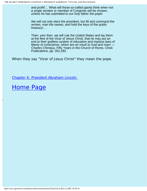and profit!… What will those so-called giants think when not a single senator or member of Congress will be chosen, unless he has submitted to our holy father the pope!

We will not only elect the president, but fill and command the armies, man the navies, and hold the keys of the public treasury!…

Then, yes! then, we will rule the United States and lay them at the feet of the Vicar of Jesus Christ, that he may put an end to their godless system of education and impious laws of liberty of conscience, which are an insult to God and man! — Charles Chiniquy, Fifty Years in the Church of Rome, Chick Publications, pp. 281,282.

When they say "Vicar of Jesus Christ" they mean the pope.

[Chapter 4: President Abraham Lincoln](http://www.geocities.com/thesecretterrorists/book/ch4)

[Home Page](http://www.geocities.com/thesecretterrorists)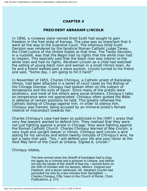### **CHAPTER 4**

#### **PRESIDENT ABRAHAM LINCOLN**

In 1856, a runaway slave named Dred Scott had sought to gain freedom in the free state of Kansas. The case was so important that it went all the way to the Supreme Court. The infamous Dred Scott Decision was rendered by the fanatical Roman Catholic Judge Taney, the Chief Justice of the United States at that time. The Taney Decision, in a nutshell, was that the Negro had no rights that the white man had to respect. This basically said that the black man was inferior to the white man and had no rights. Abraham Lincoln as a child had watched the selling of young black men and women in a small Illinois town. As he and a friend walked past a slave auction, Lincoln turned to his friend and said, "Some day, I am going to hit it hard!"

In November of 1855, Charles Chiniquy, a Catholic priest of Kankakee, Illinois, had been attacked in a series of court cases by the Bishop of the Chicago Diocese. Chiniquy had spoken often on the subject of temperance and the evils of liquor. Since many of the priests were alcoholics, and most of the others were social drinkers, Chiniquy's talks on temperance were not appreciated. Chiniquy often quoted the Bible in defense of certain positions he held. This greatly inflamed the Catholic bishop of Chicago against him. In order to silence him, Chiniquy was framed, being accused by an immoral priest's female relative of misconduct towards her.

Charles Chiniquy's case had been so publicized in the IlliRT c press that very few lawyers wanted to defend him. They realized that they were not just fighting against a priest in Chicago; they were fighting against the Roman Catholic Church. Charles Chiniquy learned of Abe Lincoln, a very loyal and upright lawyer in Illinois. Chiniquy sent Lincoln a wire asking for his services and within twenty minutes of Chiniquy's wire, he got a reply that said, "Yes, I will defend your life and your honor at the next May term of the Court at Urbana. Signed A. Lincoln."

Chiniquy relates,

The time arrived when the Sheriff of Kankakee had to drag me again as a criminal and a prisoner to Urbana, and deliver me into the hands of the sheriff of that city. I arrived there on the 20th of October with my lawyers, Messrs. Osgood and Paddock, and a dozen witnesses. Mr. Abraham Lincoln had preceded me only by a few minutes from Springfield. — Charles Chiniquy, Fifty Years in the Church of Rome, Chick Publications, p. 273.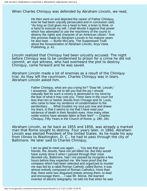When Charles Chiniquy was defended by Abraham Lincoln, we read,

He then went on and depicted the career of Father Chiniquy, how he had been unjustly persecuted and in conclusion said, "As long as God gives me a heart to feel, a brain to think, or a hand to execute my will, I shall devote it against that power which has attempted to use the machinery of the courts to destroy the rights and character of an American citizen." And this promise made by Abraham Lincoln in his maturer years he also kept. — Burke McCarty, The Suppressed Truth about the Assassination of Abraham Lincoln, Arya Varta Publishing, p. 41.

Lincoln realized that Chiniquy had been unjustly accused. The night before Chiniquy was to be condemned to prison for a crime he did not commit, an eye witness, who had overheard the plot to destroy Chiniquy, came forward and he was saved.

Abraham Lincoln made a lot of enemies as a result of the Chiniquy trial. As they left the courtroom, Charles Chiniquy was in tears. Abraham Lincoln asked him,

> Father Chiniquy, what are you crying for? "Dear Mr. Lincoln," I answered, "allow me to tell you that the joy I should naturally feel for such a victory is destroyed in my mind by the fear of what it may cost you. There were in the court not less than ten or twelve Jesuits from Chicago and St. Louis, who came to hear my sentence of condemnation to the penitentiary……What troubles my soul just now and draws my tears, is that it seems to me that I have read your sentence of death in their fiendish eyes. How many other noble victims have already fallen at their feet!" — Charles Chiniquy, Fifty Years in the Church of Rome, p. 280, 281.

Abraham Lincoln, as far back as 1855 and 1856, was already a marked man that Rome sought to destroy. Four years later, in 1860, Abraham Lincoln was elected President of the United States. As he made his way from Illinois to Washington, D. C., he had to pass through the city of Baltimore. He later said to Charles Chiniquy,

> I am so glad to meet you again. . . . You see that your friends, the Jesuits, have not yet killed me. But they would have surely done it when I passed through their most devoted city, Baltimore, had I not passed by incognito a few hours before they expected me. We have proof that the company which had been selected and organized to murder me was led by a rabid Roman Catholic called Byrne; it was almost entirely composed of Roman Catholics; more than that, there were two disguised priests among them, to lead and encourage them…. I saw Mr. Morse, the learned inventor of electric telegraphy: he told me that when he was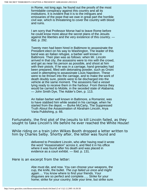in Rome, not long ago, he found out the proofs of the most formidable conspiracy against this country and all its institutions. It is evident that it is to the intrigues and emissaries of the pope that we owe in great part the horrible civil war, which is threatening to cover the country with blood and ruins.

I am sorry that Professor Morse had to leave Rome before he could know more about the secret plans of the Jesuits against the liberties and the very existence of this country. — Ibid. p. 292.

Twenty men had been hired in Baltimore to assassinate the President elect on his way to Washington. The leader of this band was an Italian refugee, a barber well known in Baltimore. Their plan was as follows: when Mr. Lincoln arrived in that city, the assassins were to mix with the crowd, and get as near his person as possible, and shoot at him with their pistols. If he was in a carriage, hand grenades had been prepared, filled with detonating powder, such as Orsini used in attempting to assassinate Louis Napoleon. These were to be thrown into the carriage, and to make the work of death doubly sure, pistols were to be discharged into the vehicle at the same moment. The assassins had a vessel lying ready to receive them in the harbour. From thence they would be carried to Mobile, in the seceded state of Alabama. — John Smith Dye, The Adder's Den, p. 113.

An Italian barber well known in Baltimore, a Romanist, was to have stabbed him while seated in his carriage, when he started from the depot. — Burke McCarty, The Suppressed Truth About the Assassination of Abraham Lincoln, Arya Varta Publishing, p. 66.

Fortunately, the first plot of the Jesuits to kill Lincoln failed, as they sought to take Lincoln's life before he ever reached the White House!

While riding on a train John Wilkes Booth dropped a letter written to him by Charles Selby. Shortly after, the letter was found and

> delivered to President Lincoln, who after having read it wrote the word "Assassination" across it, and filed it in his office where it was found after his death and was placed in evidence as a court exhibit. — Ibid. p. 131.

Here is an excerpt from the letter:

Abe must die, and now. You can choose your weapons, the cup, the knife, the bullet. The cup failed us once and might again…. You know where to find your friends. Your disguises are so perfect and complete….. Strike for your home; strike for your country; bide your time, but strike sure.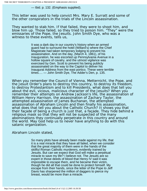— Ibid. p. 132. (Emphasis supplied).

This letter was used to help convict Mrs. Mary E. Surratt and some of the other conspirators in the trials of the Lincoln assassination.

They wanted to stab him. If that failed, they were to shoot him, and blow him up. Those failed, so they tried to poison him. "They" were the emissaries of the Pope, the Jesuits. John Smith Dye, who was a witness to these events, tells us,

> It was a dark day in our country's history when an armed guard had to surround the hotel (Willard's) where the Chief Magistrate had taken temporary lodging to prevent his assassination. And on the day, (March 4, 1861), of his Inauguration, he was escorted up Pennsylvania Avenue in a hollow square of cavalry, and the utmost vigilance was exercised by Gen. Scott to prevent his being publicly assassinated on the way to the Capitol to deliver his Inaugural Address from the east portico. These were terrible times…. — John Smith Dye, The Adder's Den, p. 135.

When you remember the Council of Vienna, Metternicht, the Pope, and the Jesuit Order's plans to destroy this country, to destroy its freedom, to destroy Protestantism and to kill Presidents, what does that tell you about the evil, vicious, malicious character of the Jesuits? When you remember their attempts on Andrew Jackson's life, the assassination of William Henry Harrison, the assassination of Zachary Taylor, the attempted assassination of James Buchanan, the attempted assassination of Abraham Lincoln and then finally his assassination, what does that tell you about the Catholic Church? It shows you that their façade of being a church is just that, a façade. They hide behind a religious mask so that they will not be suspected of the many abominations they continually perpetrate in this country and around the world. May God help us to never have anything to do with this satanic organization.

Abraham Lincoln stated,

So many plots have already been made against my life, that it is a real miracle that they have all failed, when we consider that the great majority of them were in the hands of the skillful Roman Catholic murderers, evidently trained by Jesuits. But can we expect that God will make a perpetual miracle to save my life? I believe not. The Jesuits are so expert in those deeds of blood that Henry IV said it was impossible to escape them, and he became their victim, though he did all that could be done to protect himself. My escape from their hands, since the letter of the Pope to Jeff Davis has sharpened the million of daggers to pierce my breast, would be more than a miracle.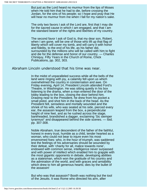But just as the Lord heard no murmur from the lips of Moses when He told him that he had to die, before crossing the Jordan, for the sins of his people; so I hope and pray that He will hear no murmur from me when I fall for my nation's sake.

The only two favors I ask of the Lord are, first that I may die for the sacred cause in which I am engaged, and that I am the standard bearer of the rights and liberties of my country.

The second favor I ask of God is, that my dear son, Robert, when I am gone, will be one of those who lift up that flag of liberty which will cover my tomb, and will carry it with honor and fidelity, to the end of his life, as his father did, surrounded by the millions who will be called with him to fight and die for the defense and honor of our country. — Charles Chiniquy, Fifty Years in the Church of Rome, Chick Publications, pp. 302, 303.

Abraham Lincoln understood that his time was near.

In the midst of unparalleled success while all the bells of the land were ringing with joy, a calamity fell upon us which overwhelmed the country in consternation and awe. On Friday evening, April 14, President Lincoln attended Ford's Theatre, in Washington. He was sitting quietly in his box listening to the drama, when a man entered the door of the lobby leading to the box, closing the door behind him. Drawing near to the President, he drew from his pocket a small pistol, and shot him in the back of the head. As the President fell, senseless and mortally wounded and the shriek of his wife, who was seated at his side, pierced every ear, the assassin leaped from the box, a perpendicular height of nine feet, and as he rushed across the stage, bareheaded, brandished a dagger, exclaiming 'Sic siemper tyrannus!' and disappeared behind the side scenes. — Ibid. pp. 307-308.

Noble Abraham, true descendent of the father of the faithful, honest in every trust, humble as a child, tender hearted as a woman, who could not bear to injure even his most envenomed foes: who, in the hour of triumph, was saddened lest the feelings of his adversaries should be wounded by their defeat, with 'charity for all, malice towards none', endowed with common sense, intelligence never surpassed and with power of intellect which enabled him to grapple with the most gigantic opponents in debate, developing abilities as a statesman, which won the gratitude of his country and the admiration of the world, and with graces and amiability which drew to him all generous hearts; dies by the bullet of the assassin!

But who was that assassin? Booth was nothing but the tool of the Jesuits. It was Rome who directed his arm, after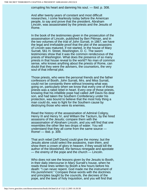corrupting his heart and damning his soul. — Ibid. p. 308.

And after twenty years of constant and most difficult researches, I come fearlessly today before the American people, to say and prove that the president, Abraham Lincoln, was assassinated by the priests and the Jesuits of Rome.

In the book of the testimonies given in the prosecution of the assassination of Lincoln, published by Ben Pittman, and in the two volumes of the trial of John Surratt, in 1867, we have the legal and irrefutable proof that the plot of the assassins of Lincoln was matured, if not started, in the house of Mary Surratt, 561 H. Street, Washington, D. C. The sworn testimonies show that it was the common rendezvous of the priests of Washington. What does the presence of so many priests in that house reveal to the world? No man of common sense, who knows anything about the priests of Rome, can doubt that they were the advisers, the counselors, the very soul of that infernal plot.

Those priests, who were the personal friends and the father confessors of Booth, John Surratt, Mrs. and Miss Surratt, could not be constantly there without knowing what was going on, particularly when we know that every one of those priests was a rabid rebel in heart. Every one of those priests, knowing that his infallible pope had called Jeff Davis his dear son, and had taken the Southern Confederacy under his protection, was bound to believe that the most holy thing a man could do, was to fight for the Southern cause by destroying those who were its enemies.

Read the history of the assassination of Admiral Coligny, Henry III and Henry IV, and William the Taciturn, by the hired assassins of the Jesuits; compare them with the assassination of Abraham Lincoln, and you will find that one resembles the other like two drops of water. You will understand that they all come from the same source — Rome! — Ibid. p. 309.

That arch rebel [Jeff Davis] could give the money; but the Jesuits alone could select the assassins, train them, and show them a crown of glory in heaven, if they would kill the author of the bloodshed, the famous renegade and apostate — the enemy of the pope and the church — Lincoln.

Who does not see the lessons given by the Jesuits to Booth, in their daily intercourse in Mary Surratt's house, when he reads those lines written by Booth a few hours before his death: "I can never repent. God made me the instrument of His punishment." Compare these words with the doctrines and principles taught by the councils, the decrees of the pope, and the laws of holy Inquisition, and you will find that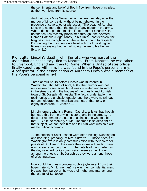the sentiments and belief of Booth flow from those principles, as the river flows from its source.

And that pious Miss Surratt, who, the very next day after the murder of Lincoln, said, without being rebuked, in the presence of several other witnesses: "The death of Abraham Lincoln is no more than the death of any nigger in the army." Where did she get that maxim, if not from her Church? Had not that church recently proclaimed through...the devoted Roman Catholic Judge Taney, in his Dred Scott decision, the Negroes have no right which the white is bound to respect? By bringing the president on a level with the lowest nigger, Rome was saying that he had no right even to his life. — Ibid. p. 310.

Right after Lincoln's death, John Surratt, who was part of the assassination conspiracy, fled to Montreal. From Montreal he was taken to Liverpool, England and then to Rome. When a United States official finally caught up with him, he was found in the Pope's personal army. A conspirator in the assassination of Abraham Lincoln was a member of the Pope's personal army!

> Three or four hours before Lincoln was murdered in Washington, the 14th of April, 1865, that murder was not only known by someone, but it was circulated and talked of in the streets and in the houses of the priestly and Romish town of St. Joseph, Minnesota. The fact is undeniable; the testimonies are unchallengeable, and there were no railroad nor any telegraph communications nearer than forty or eighty miles from St. Joseph….

> Mr. Linneman, who is a Roman Catholic, tells us that though he heard this from many in his store, and in the streets, he does not remember the name of a single one who told him that.... But if the memory of Mr. Linneman is so deficient on that subject, we can help him and tell him what was said with mathematical accuracy….

> …The priests of Saint Joseph were often visiting Washington and boarding, probably, at Mrs. Surratt's…. Those priests of Washington were in daily communication with their co-rebel priests of St. Joseph; they were their intimate friends. There was no secret among them…. The details of the murder, as the day selected for its commission, were as well known among the priests of St. Joseph as they were among those of Washington….

How could the priests conceal such a joyful event from their bosom friend, Mr. Linneman? He was their confidential man. He was their purveyor; he was their right hand man among the faithful of St. Joseph….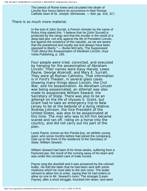The priests of Rome knew and circulated the death of Lincoln four hours before its occurrence in their Roman Catholic town of St. Joseph, Minnesota. — Ibid. pp. 316, 317.

There is so much more material.

In the trial of John Surratt, a French minister by the name of Rufus King stated this: "I believe that he [John Surratt] is protected by the clergy and that the murder is the result of a deep-laid plot, not only against the life of President Lincoln, but against the existence of this republic, as we are aware that the priesthood and royalty are and always have been opposed to liberty." — Burke McCarty, The Suppressed Truth About the Assassination of Abraham Lincoln, Arya Varta Publishing, p. 185.

Four people were tried, convicted, and executed by hanging for the assassination of Abraham Lincoln. Their names were Davy Harold, Lewis Payne, George Atzerodt, and Mary E. Surratt. They were all Roman Catholics. That information is in Ford's Theater, in several glass cases showing many things about Lincoln, the Civil War, and his assassination. As Abraham Lincoln was being assassinated, an attempt was also made to assassinate William Seward, the Secretary of State. There was also to be an attempt on the life of Ulysses S. Grant, but Grant had to take an emergency trip to New Jersey to be at the bedside of a dying relative. Andrew Johnson, the Vice President of the United States, was also to be assassinated at this time. The man who was to kill him became scared and ran off, riding on a horse into the country, and did not carry out his part of the plan.

Lewis Payne, known as the Florida boy, an athletic young giant, who some months before had joined the conspiracy, rode up to the front of the residence of the Secretary of State, William Seward.

William Seward had been ill for three weeks, suffering from a fractured jaw, the result of the running away of his team and was under the constant care of male nurses.

Payne rang the doorbell and it was answered by the colored butler. He told the latter that he had been sent with some medicine which he must take to the sick room. The butler refused to allow him to enter, saying that he had orders to allow no one to Mr. Seward's room. The stranger [Lewis Payne], after a short struggle, knocked him down, and went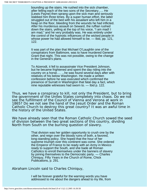bounding up the stairs. He rushed into the sick chamber, after felling each of the two sons of the Secretary….. He [Lewis Payne] then sprang upon the sick man and seriously stabbed him three times. By a super human effort, the latter struggled out of the bed with his assailant who left him in a heap on the floor, bleeding from the wounds he had inflicted. After his murderous assault on Seward, the ruffian rushed down the stairs, yelling at the top of his voice, "I am mad! I am mad," and he very probably was. He was entirely under the control of the hypnotic influences of the wicked people in whose power he had allowed himself to be. — Ibid, pp. 121, 122.

It was part of the plan that Michael O'Laughlin one of the conspirators from Baltimore, was to have murdered General Grant that night. This was not possible, owing to the change in the General's plans.

To Atzerodt, it fell to assassinate Vice President Johnson, but he became frightened and spent the day riding into the country on a horse.… ...he was found several days after with relatives of his below Washington. He made a written confession before he was executed which confirmed the presence of Surratt in Washington that fatal day a fact, which nine reputable witnesses had sworn to. — Ibid p. 122.

Thus, we have a conspiracy to kill, not only the President, but to bring the government of the Unites States completely into chaos. Do we not see the fulfillment of the Council of Vienna and Verona at work in 1865? Do we not see the hand of the Jesuit Order and the Roman Catholic Church to destroy this great country? It was an awful time in the history of the United States.

We have already seen that the Roman Catholic Church sowed the seed of division between the two great sections of this country, dividing North from South on the burning question of slavery.

> That division was her golden opportunity to crush one by the other, and reign over the bloody ruins of both, a favored, long-standing policy. She hoped that the hour of her supreme triumph over this continent was come. She ordered the Emperor of France to be ready with an Army in Mexico ready to support the South, and she bade all Roman Catholics to enroll themselves under the banners of slavery by joining themselves to the Democratic party. — Charles Chiniquy, Fifty Years in the Church of Rome, Chick Publications, p. 291.

Abraham Lincoln said to Charles Chiniquy,

I will be forever grateful for the warning words you have addressed to me about the dangers ahead to my life, from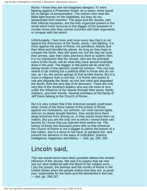Rome. I know they are not imaginary dangers. If I were fighting against a Protestant South, as a nation, there would be no danger of assassination. The nations who read the Bible fight bravely on the battlefield, but they do not assassinate their enemies. The pope and the Jesuits, with their infernal inquisition, are the only organized powers in the world which have recourse to the dagger of the assassin to murder those who they cannot convince with their arguments or conquer with the sword.

Unfortunately, I feel more and more every day that it is not against the Americans of the South, alone, I am fighting, it is more against the pope of Rome, his perfidious Jesuits and their blind and bloodthirsty slaves. As long as they hope to conquer the North, they will spare me; but the day we route their armies, take their cities and force them to submit, then, it is my impression that the Jesuits, who are the principal rulers of the South, will do what they have almost invariably done in the past. The dagger or the pistol will do what the strong hands of the warriors could not achieve. This civil war seems to be nothing but a political affair to those who do not see, as I do, the secret springs of that terrible drama. But it is more a religious than a civil war. It is Rome who wants to rule and degrade the North, as she has ruled and degraded the South, from the very day of its discovery. There are only very few of the Southern leaders who are not more or less under the influence of the Jesuits through their wives, family relations, and their friends. Several members of the family of Jeff Davis belong to the Church of Rome....

But it is very certain that if the American people could learn what I know of the fierce hatred of the priests of Rome against our institutions, our schools, our most sacred rights, and our so dearly bought liberties, they would drive them away tomorrow from among us, or they would shoot them as traitors. But you are the only one to whom I reveal these sad secrets for I know that you learned them before me. The history of these last thousand years tells us that wherever the Church of Rome is not a dagger to pierce the bosom of a free nation, she is a stone to her neck, to paralyze her, and prevent her advance in the ways of civilization, science, intelligence, happiness and liberty. — Ibid. pp. 294, 295.

# Lincoln said,

This war would never have been possible without the sinister influence of the Jesuits. We owe it to popery that we now see our land reddened with the blood of her noblest sons…. I pity the priests, the bishops and the monks of Rome in the United States when the people realize that they are, in great part, responsible for the tears and the bloodshed in this war. — Ibid. pp. 296,297.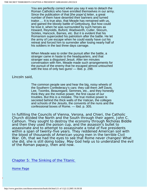You are perfectly correct when you say it was to detach the Roman Catholics who have enrolled themselves in our army. Since the publication of that [the pope's] letter, a great number of them have deserted their banners and turned traitor…. It is true also, that Meade has remained with us, and gained the bloody battle of Gettysburg. But how could he lose it, when he was surrounded by such heroes as Howard, Reynolds, Buford, Wadsworth, Cutler, Slocum, Sickles, Hancock, Barnes, etc. But it is evident that his Romanism superceded his patriotism after the battle. He let the army of Lee escape when he could easily have cut his retreat and forced him to surrender after losing nearly half of his soldiers in the last three days carnage.

When Meade was to order the pursuit after the battle, a stranger came in haste to the headquarters, and that stranger was a disguised Jesuit. After ten minutes conversation with him, Meade made such arrangements for the pursuit of the enemy that he escaped almost untouched with the loss of only two guns! — Ibid. p. 298.

#### Lincoln said,

The common people see and hear the big, noisy wheels of the Southern Confederacy's cars: they call them Jeff Davis, Lee, Toombs, Beauregard, Semmes, etc., and they honestly think they are the motive power, the first cause of our troubles. But this is a mistake. The true motive power is secreted behind the thick walls of the Vatican, the colleges and schools of the Jesuits, the convents of the nuns and the confessional boxes of Rome. — Ibid. p. 305.

In fulfilling the Councils of Vienna, Verona, and Chieri, the Catholic Church divided the North and the South through their agent, John C. Calhoun. They sought to destroy the economy through Nicholas Biddle and then they used the poison cup, and the assassin's bullet to assassinate and to attempt to assassinate a total of five presidents within a span of twenty-five years. They reddened American soil with the blood of thousands of American young men in the terrible Civil War. Oh, that we had the eyes to see that Rome never changes! What she did, she is still doing today. May God help us to understand the evil of the Roman papacy, then and now.

[Chapter 5: The Sinking of the Titanic](#page-38-0) 

[Home Page](http://www.geocities.com/thesecretterrorists)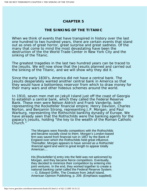# **CHAPTER 5**

# **THE SINKING OF THE TITANIC**

<span id="page-38-0"></span>When we think of events that have transpired in history over the last one hundred to two hundred years, there are certain events that stand out as ones of great horror, great surprise and great sadness. Of the many that come to mind the most devastating have been the destruction of the the World Trade Center in New York City and the sinking of the Titanic.

The greatest tragedies in the last two hundred years can be traced to the Jesuits. We will now show that the Jesuits planned and carried out the sinking of the Titanic, and we will show why they did it.

Since the early 1830's, America did not have a central bank. The Jesuits desperately wanted another central bank in America so that they would have a bottomless reservoir from which to draw money for their many wars and other hideous schemes around the world.

In 1910, seven men met on Jekyll Island just off the coast of Georgia to establish a central bank, which they called the Federal Reserve Bank. These men were Nelson Aldrich and Frank Vanderlip, both representing the Rockefeller financial empire; Henry Davison, Charles Norton, and Benjamin Strong, representing J.P. Morgan; and Paul Warburg, representing the Rothschild banking dynasty of Europe. We have already seen that the Rothschilds were the banking agents for the papacy's Jesuits, holding "the key to the wealth of the Roman Catholic Church."

> The Morgans were friendly competitors with the Rothschilds and became socially close to them. Morgan's London-based firm was saved from financial ruin in 1857 by the Bank of England over which the Rothschilds held great influence. Thereafter, Morgan appears to have served as a Rothschild financial agent and went to great length to appear totally American....

His [Rockefeller's] entry into the field was not welcomed by Morgan, and they became fierce competitors. Eventually, they decided to minimize their competition by entering into joint ventures. In the end, they worked together to create a national banking cartel called the Federal Reserve System. — G. Edward Griffin, The Creature from Jekyll Island, American Opinion Publishing, p. 209. (Emphasis supplied).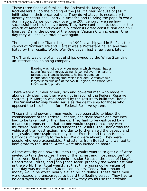These three financial families, the Rothschilds, Morgans, and Rockefellers all do the bidding of the Jesuit Order because of Jesuit infiltration in their organizations. They do whatever is necessary to destroy constitutional liberty in America and to bring the pope to world domination. As we look back over the 20th century, we see how successful the Jesuits have been. They have continued to squander the wealth of America and continually attack its great constitution and civil liberties. Daily, the power of the pope in Vatican City increases. One day they will achieve total power again.

The building of the Titanic began in 1909 at a shipyard in Belfast, the capitol of Northern Ireland. Belfast was a Protestant haven and was hated by the Jesuits. World War One began just a few years later.

The Titanic was one of a fleet of ships owned by the White Star Line, an international shipping company.

> Banking was not the only business in which Morgan had a strong financial interest. Using his control over the nation's railroads as financial leverage, he had created an international shipping trust which included Germany's two largest lines plus one of the two in England, the White Star Lines. — Ibid, p. 246.

There were a number of very rich and powerful men who made it abundantly clear that they were not in favor of the Federal Reserve System. J.P. Morgan was ordered by the Jesuits to build the Titanic. This 'unsinkable' ship would serve as the death ship for those who opposed the Jesuits' plan for a Federal Reserve system.

These rich and powerful men would have been able to block the establishment of the Federal Reserve, and their power and fortunes had to be taken out of their hands. They had to be destroyed by a means so preposterous that no one would suspect that they were murdered, and no one would suspect the Jesuits. The Titanic was the vehicle of their destruction. In order to further shield the papacy and the Jesuits from suspicion, many Irish, French, and Italian Roman Catholics immigrating to the New World were aboard. They were people who were expendable. Protestants from Belfast who wanted to immigrate to the United States were also invited on board.

All the wealthy and powerful men the Jesuits wanted to get rid of were invited to take the cruise. Three of the richest and most important of these were Benjamin Guggenheim, Isador Strauss, the head of Macy's Department Stores, and John Jacob Astor, probably the wealthiest man in the world. Their total wealth, at that time, using dollar values of their day was more than 500 million dollars. Today that amount of money would be worth nearly eleven billion dollars. These three men were coaxed and encouraged to board the floating palace. They had to be destroyed because the Jesuits knew they would use their wealth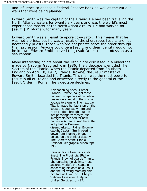and influence to oppose a Federal Reserve Bank as well as the various wars that were being planned.

Edward Smith was the captain of the Titanic. He had been traveling the North Atlantic waters for twenty-six years and was the world's most experienced master of the North Atlantic routs. He had worked for Jesuit, J.P. Morgan, for many years.

Edward Smith was a 'Jesuit tempore co-adjator.' This means that he was not a priest, but he was a Jesuit of the short robe. Jesuits are not necessarily priests. Those who are not priests serve the order through their profession. Anyone could be a Jesuit, and their identity would not be known. Edward Smith served the Jesuit Order in his profession as a sea captain.

Many interesting points about the Titanic are discussed in a videotape made by National Geographic in 1986. The videotape is entitled The Secrets of the Titanic. When the Titanic departed from Southern England on April 10, 1912, Francis Browne, the Jesuit master of Edward Smith, boarded the Titanic. This man was the most powerful Jesuit in all of Ireland and answered directly to the general of the Jesuit Order in Rome. The videotape declares:

> A vacationing priest, Father Francis Browne, caught these poignant snapshots of his fellow passengers, most of them on a voyage to eternity. The next day Titanic made her last stop off the coast of Queenstown, Ireland. Here tenders brought out the last passengers; mostly Irish immigrants headed for new homes in America. And here, the lucky Father Browne disembarked.... Father Browne caught Captain Smith peering down from Titanic's bridge, poised on the brink of destiny. -The Secrets of the Titanic, National Geographic, video tape, 1986.

Here is Jesuit treachery at its finest. The Provincial [Father Francis Browne] boards Titanic, photographs the victims, most assuredly briefs the Captain concerning his oath as a Jesuit, and the following morning bids him farewell. — Eric J. Phelps, Vatican Assassins, Halycon Unified Services, p. 427.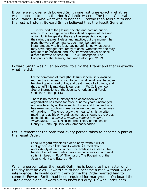Browne went over with Edward Smith one last time exactly what he was supposed to do in the North Atlantic waters. The Jesuit General told Francis Browne what was to happen; Browne then tells Smith and the rest is history. Edward Smith believed that the Jesuit General

> . . . is the god of the [Jesuit] society, and nothing but his electric touch can galvanize their dead corpses into life and action. Until he speaks, they are like serpents coiled up in their wintry graves, lifeless and inactive; but the moment he gives the word of command, each member springs instantaneously to his feet, leaving unfinished whatsoever may have engaged him, ready to assail whomsoever he may require to be assailed, and to strike wheresoever he shall direct a blow to be stricken. — R.W. Thompson, The Footprints of the Jesuits, Hunt and Eaton, pp. 72, 73.

Edward Smith was given an order to sink the Titanic and that is exactly what he did.

> By the command of God, [the Jesuit General] it is lawful to murder the innocent, to rob, to commit all lewdness, because he [the Pope] is Lord of life, and death, and of all things; and thus to fulfill his mandate is our duty. — W. C. Brownlee, Secret Instructions of the Jesuits, American and Foreign Christian Union, p. 143.

> There is no record in history of an association whose organization has stood for three hundred years unchanged and unaltered by all the assaults of men and time, and which has exercised such an immense influence over the destinies of mankind… 'The ends justify the means,' is his favorite maxim; and as his only end, as we have shewn, is the order, at its bidding the Jesuit is ready to commit any crime whatsoever.  $\leftarrow$  G. B. Nicolini, The History of the Jesuits, Henry G. Bohn, pp. 495, 496, emphasis added.

Let us remember the oath that every person takes to become a part of the Jesuit Order:

> I should regard myself as a dead body, without will or intelligence, as a little crucifix which is turned about unresistingly at the will of him who holds it as a staff in the hands of an old man, who uses it as he requires it, and as it suits him best. — R. W. Thompson, The Footprints of the Jesuits, Hunt and Eaton, p. 54.

When a person takes the Jesuit Oath, he is bound to his master until the day that he dies. Edward Smith had become a man without will or intelligence. He would commit any crime the Order wanted him to commit. Edward Smith had been required for martyrdom. On board the Titanic that night, Edward Smith knew his duty. He was under oath.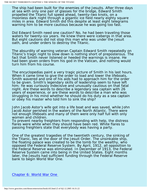The ship had been built for the enemies of the Jesuits. After three days at sea with only one pair of glasses for the bridge, Edward Smith propelled the Titanic full speed ahead, twenty-two knots, on a moonless dark night through a gigantic ice field nearly eighty square miles in area. Edward Smith did this despite at least eight telegrams warning him to be more cautious because he was going too fast.

Did Edward Smith need one caution? No, he had been traveling those waters for twenty-six years. He knew there were icebergs in that area. But eight cautions did not stop this man who was under the Jesuit oath, and under orders to destroy the Titanic.

The absurdity of warning veteran Captain Edward Smith repeatedly on Titanic's tragic night to slow down is nothing short of preposterous. The fact that Smith never listened or heeded the warnings is insane. He had been given orders from his god in the Vatican, and nothing would turn him from his course.

The encyclopedias paint a very tragic picture of Smith in his last hours. When it came time to give the order to load and lower the lifeboats, Smith wavered and one of his aids had to approach him for the order to be given. Smith's legendary skills of leadership seem to have left him; he was curiously indecisive and unusually cautious on that fatal night. Are these words to describe a legendary sea captain with 26 years of experience, or are these words to describe a man who was struggling in his mind whether he should do his duty as a sea captain or obey his master who told him to sink the ship?

John Jacob Astor's wife got into a life boat and was saved, while John Jacob Astor perished in the waters of the North Atlantic. There were not enough lifeboats and many of them were only half full with only women and children.

To prevent nearby freighters from responding with help, the distress flares were white when they should have been red. White flares to passing freighters state that everybody was having a party.

One of the greatest tragedies of the twentieth century, the sinking of the Titanic, lies at the door of the Jesuit Order. The unsinkable ship, the floating palace was created to be the tomb for the wealthy, who opposed the Federal Reserve System. By April, 1912, all opposition to the Federal Reserve was eliminated. In December of 1913, the Federal Reserve System came into being in the United States. Eight months later, the Jesuits had sufficient funding through the Federal Reserve bank to begin World War One.

[Chapter 6: World War One](#page-44-0)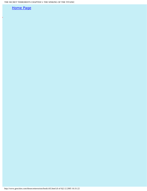# [Home Page](http://www.geocities.com/thesecretterrorists)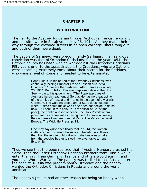### **CHAPTER 6**

#### **WORLD WAR ONE**

<span id="page-44-0"></span>The heir to the Austria-Hungarian throne, Archduke Francis Ferdinand and his wife, were in Sarajevo on July 26, 1914. As they made their way through the crowded streets in an open carriage, shots rang out, and both of them were dead.

The people of Sarajevo were predominantly Serbians. Their religious conviction was that of Orthodox Christians. Since the year 1054, the Catholic church has been waging war against the Orthodox Christians. Fifty years prior to the assassination, the Croatians, who are Catholic, were becoming extremely vocal about their hatred for the Serbians, who were a rival of Rome and needed to be exterminated.

> Pope Pius X, in his hatred of the Orthodox Christians, was continually inciting Emperor Francis Joseph of Austria-Hungary to 'chastise the Serbians.' After Sarajevo, on July 26, 1914, Baron Ritter, Bavarian representative at the Holy See, wrote to his government: "The Pope approves of Austria's harsh treatment of Serbia. He has no great opinion of the armies of Russia and France in the event of a war with Germany. The Cardinal Secretary of State does not see when Austria could make war if she does not decide to do so now…." There, in true colours, is the Vicar of Christ [the pope], the gentle apostle of peace, the Holy Pontiff whom pious authors represent as having died of sorrow at seeing the outbreak of war. — Edmund Paris. The Vatican against Europe, The Wickliffe Press, p. 14.

One may say quite specifically that in 1914, the Roman Catholic Church started the series of hellish wars. It was then that the tribute of blood which she has always taken from the peoples began to swell into a veritable torrent. — Ibid, p. 48.

Thus we see that the pope realized that if Austria-Hungary crushed the Serbs, then the Serbs' Orthodox Christian brothers from Russia would enter the fray. Then Germany, France and others would join in, and you have World War One. The papacy was thrilled to see Russia enter the conflict. Russia was predominantly Orthodox and the papacy wanted the Orthodox Christians in Russia and around the world annihilated.

The papacy's Jesuits had another reason for being so happy when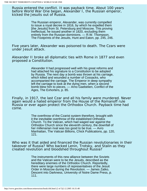Russia entered the conflict. It was payback time. About 100 years before World War One began, Alexander I, the Russian emperor, kicked the Jesuits out of Russia.

> The Russian emperor, Alexander, was currently compelled to issue a royal decree in 1816, by which he expelled them [the Jesuits] from St. Petersburg and Moscow. This proving ineffectual, he issued another in 1820, excluding them entirely from the Russian dominions. — R.W. Thompson, The Footprints of the Jesuits, Hunt and Eaton, pp. 245, 246.

Five years later, Alexander was poisoned to death. The Czars were under Jesuit attack.

Alexander II broke all diplomatic ties with Rome in 1877 and even proposed a Constitution.

> Alexander II had progressed well with his great reforms and had attached his signature to a Constitution to be adopted by Russia. The next day a bomb was thrown at his carriage, which killed and wounded a number of Cossacks, who accompanied the carriage. The Emperor in deep sympathy left the carriage to look at the dying men, when a second bomb blew him to pieces. — Arno Gaebelien, Conflict of the Ages, The Exhorters, p. 85.

Finally, in 1917, the last Czar and all his family were murdered. Never again would a hated emperor from the House of the Romanoff rule Russia or ever again protect the Orthodox Church. Payback time had come.

> The overthrow of the Czarist system therefore, brought with it the inevitable overthrow of the established Orthodox Church. To the Vatican, which had waged war against the Orthodox Church since the eleventh century, the downfall of her millenarian rival was too good to be true. — Avro Manhattan, The Vatican Billions, Chick Publications, pp. 120, 121.

Who was it that aided and financed the Russian revolutionaries in their takeover of Russia? Who backed Lenin, Trotsky, and Stalin as they created revolution and bloodshed throughout Russia?

> The instruments of this new alliance between the Soviets and the Vatican were to be the Jesuits, described as the hereditary enemies of the Orthodox Church. Reportedly, there were large numbers of representatives of the Jesuit Order in Moscow during the Revolution. — James Zatko, Descent into Darkness, University of Notre Dame Press, p. 111.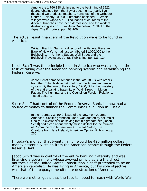Among the 1,766,188 victims up to the beginning of 1922, figures obtained from the Soviet documents, nearly five thousand were priests, teachers, nuns, etc. of the Orthodox Church.... Nearly 100,000 Lutherans banished..... Whole villages were wiped out.... Thousands of churches of the different branches have been demolished and the work of destruction goes on...... — Arno Gaebelien, Conflict of the Ages, The Exhorters, pp. 103-106.

The actual Jesuit financiers of the Revolution were to be found in America.

> William Franklin Sands, a director of the Federal Reserve Bank of New York, had just contributed \$1,000,000 to the Bolsheviks. — Anthony Sutton, Wall Street and the Bolshevik Revolution, Veritas Publishing, pp. 133, 134.

Jacob Schiff was the principle Jesuit in America who was assigned the task of taking over the American banking system and establishing the Federal Reserve.

> Jacob Schiff came to America in the late 1800s with orders from the Rothschilds to get control of the American banking system. By the turn of the century, 1900, Schiff had mastery of the entire banking fraternity on Wall Street. — Myron Fagan, The Illuminati and the Council on Foreign Relations, Taped Lecture.

Since Schiff had control of the Federal Reserve Bank, he now had a source of money to finance the Communist Revolution in Russia.

> In the February 3, 1949, issue of the New York Journal American, Schiff's grandson, John, was quoted by columnist Cholly Knickerbocker as saying that his grandfather [Jacob Schiff] had given about twenty million dollars for the triumph of Communism in Russia. — G. Edward Griffin, The Creature from Jekyll Island, American Opinion Publishing, p. 265.

In today's money, that twenty million would be 420 million dollars, money essentially stolen from the American people through the Federal Reserve Bank.

Jacob Schiff was in control of the entire banking fraternity and was financing a government whose avowed principles are the direct antithesis of the United States Constitution. Schiff pretended to be an American capitalist. He was living in America, but his sole objective was that of the papacy: the ultimate destruction of America.

There were other goals that the Jesuits hoped to reach with World War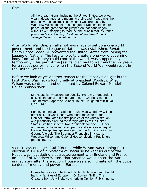#### One.

All the great nations, including the United States, were warweary, devastated, and mourning their dead. Peace was the great universal desire. Thus, when it was proposed by Woodrow Wilson to set up a 'League of Nations' to ensure peace; all the great nations jumped on that bandwagon without even stopping to read the fine print in that insurance policy. — Myron Fagan, The Illuminati and the Council on Foreign Relations, Taped lecture.

After World War One, an attempt was made to set up a one-world government, and the League of Nations was established. Senator Henry Cabot Lodge Sr. prevented the United States from joining the League of Nations. The Jesuits' plot to create a one world governing body from which they could control the world, was stopped only temporarily. This part of the Jesuits' plan had to wait another 27 years for a repeat performance, when the Second World War would result in the United Nations.

Before we look at yet another reason for the Papacy's delight in the First World War, let us look briefly at president Woodrow Wilson. Wilson was controlled and dominated by Colonel Edward Mandell House. Wilson said:

> Mr. House is my second personality. He is my independent self. His thoughts and mine are one. — Charles Seymour, The Intimate Papers of Colonel House, Houghton Mifflin, vol. I, pp. 114-115.

> For seven long years Colonel House was Woodrow Wilson's other self.... It was House who made the slate for the Cabinet, formulated the first policies of the Administration and practically directed the foreign affairs of the United States. We had, indeed, two Presidents for one.… Super ambassador, he talked to emperors and kings as an equal. He was the spiritual generalissimo of the Administration. — George Viereck, The Strangest Friendship in History: Woodrow Wilson and Colonel House, Liveright Publishers, pp. 18, 19, 33.

Vierick says on pages 106-108 that while Wilson was running for reelection in 1916 on a platform of "because he kept us out of war," House was negotiating a secret agreement with England and France, on behalf of Woodrow Wilson, that America would enter the war immediately after the election. House was also intimate with the power centers of money and power in Europe.

> House had close contacts with both J.P. Morgan and the old banking families of Europe. — G. Edward Griffin, The Creature from Jekyll Island, American Opinion Publishing, p.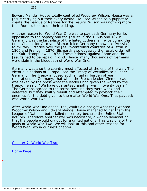239.

Edward Mandell House totally controlled Woodrow Wilson. House was a Jesuit carrying out their every desire. He used Wilson as a puppet to create the League of Nations for the Jesuits. Wilson was nothing more than Rome's tool to do their bidding.

Another reason for World War One was to pay back Germany for its opposition to the papacy and the Jesuits in the 1860s and 1870s. Germany was the birthplace of the hated Lutherans. Twice during this time, Chancellor Otto von Bismarck led Germany (known as Prussia ) to military victories over the Jesuit-controlled countries of Austria in 1866 and France in 1870. Bismarck also outlawed the Jesuit order with the Kulturkampf law in 1872. These 'crimes' against Rome and the Jesuits had to be repaid in kind. Hence, many thousands of Germans were slain in the bloodbath of World War One.

Germany was also the country most affected at the end of the war. The victorious nations of Europe used the Treaty of Versailles to plunder Germany. The Treaty imposed such an unfair burden of war reparations on Germany, that when the French leader, Clemenceau, was asked by the press what the leaders had given the world by the treaty, he said, "We have guaranteed another war in twenty years." The Germans agreed to the terms because they were weak and defeated, but they swiftly rebuilt and attempted to payback their enemies for the debt given to them after World War One. That payback was World War Two.

After World War One ended, the Jesuits did not get what they wanted. Woodrow Wilson and Edward Mandel House managed to get them the League of Nations, but it failed miserably because the United States did not join. Therefore another war was necessary, a war so devastating that the people would cry out for a united nations. This was one of the goals of World War Two. We will look at this and other reasons for World War Two in our next chapter.

[Chapter 7: World War Two](#page-49-0)

[Home Page](http://www.geocities.com/thesecretterrorists)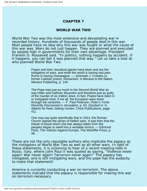### **CHAPTER 7**

#### **WORLD WAR TWO**

<span id="page-49-0"></span>World War Two was the most extensive and devastating war in recorded history. Hundreds of thousands of people died in this war. Most people have no idea why this war was fought or what the cause of this war was. Wars do not just happen. They are planned and executed by people high in governments for their own advantage. President Franklin D. Roosevelt said, "In politics, nothing happens by accident. If it happens, you can bet it was planned that way." Let us take a look at who planned World War Two.

> Popes and their Jesuitical agents have been and are the instigators of wars, and while the world is having real pain, Rome is having champagne. — Jeremiah J. Crowley (a former Catholic priest), Romanism: A Menace to the Nation, Menace Publishing, p. 144.

The Pope was just as much in the Second World War as was Hitler and Catholic Mussolini and therefore just as guilty of the murder of six million Jews. In fact, Popes have been in or instigated most, if not all, the European wars down through the centuries. — F. Paul Peterson, Peter's Tomb Recently Discovered in Jerusalem, p. 63. (Quoted in: Is Alberto for Real, Sidney Hunter, Chick Publications, page 41).

One may say quite specifically that in 1914, the Roman Church started the series of hellish wars. It was then that the tribute of blood which she has always taken from the peoples began to swell into a veritable torrent. — Edmond Paris, The Vatican Against Europe, The Wickliffe Press, p. 48.

These are not the only reputable authors who implicate the papacy as the instigators of World War Two as well as all other wars. In light of these statements, it is sickening to hear of a recent meeting held in Assisi, Italy, where John Paul II was quoted as saying, "Violence never again! War never again! Terrorism never again!" The papacy has instigated, and is still instigating wars, and the pope has the audacity to make that statement!

America is currently conducting a war on terrorism. The above statements indicate that the papacy is responsible for making this war on terrorism necessary.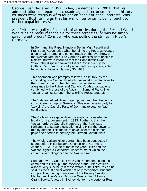George Bush declared in USA Today, September 17, 2001, that his administration is preparing a crusade against terrorism. In past history, crusades were religious wars fought on behalf of papal interests. Was president Bush telling us that his war on terrorism is being fought to further papal interests?

Adolf Hitler was guilty of all kinds of atrocities during the Second World War. Was he really responsible for these atrocities, or was he simply carrying out orders? Consider who was pulling the strings in Hitler's Germany.

> In Germany, the Papal Nuncio in Berlin, Mgr. Pacelli and Franz von Papen, privy Chamberlain to the Pope, advocated a 'union with Rome' and concentrated on the overthrow of the Weimar Republic. The German Catholics were hostile to Nazism, but were informed that the Pope himself was 'favourably disposed towards Hitler.' Consequently the Catholic Zentrum, axis of all parliamentary majorities, voted full rights to Hitler on January 30, 1933.

> This operation was promptly followed, as in Italy, by the concluding of a Concordat which was most advantageous to the Roman church. The German Episcopate swore allegiance to the Fuhrer and Catholic Youth organizations combined with those of the Nazis. — Edmond Paris, The Vatican Against Europe, The Wickliffe Press, page 15.

> The Vatican helped Hitler to gain power and then helped him consolidate his grip on Germany. This was done in party by 'advising' the Catholic Party of Germany to vote for Nazi candidates.

The Catholic vote gave Hitler the majority he needed to legally form a government in 1933. Further to this, the Vatican ordered Catholic members of the Reichstag Parliament to support legislation giving Hitler the power to rule by decree. This measure gave Hitler the dictatorial power he needed to destroy the German Communists.

The whole Vatican-Hitler bargain had been conducted in secret before Hitler became Chancellor of Germany in January 1933. In June of the same year, Hitler and the Vatican signed a Concordat, under terms of which the church swore allegiance to the Nazi regime....

Soon afterward, Catholic Franz von Papen, the second in command to Hitler, put the essence of the Hitler-Vatican alliance very succinctly in these words: "The Third Reich," he said, "is the first power which not only recognizes, but puts into practice, the high principles of the Papacy." — Avro Manhattan, The Vatican Moscow Washington Alliance, Ozark Books, (quoted in Sydney Hunter, Is Alberto for Real,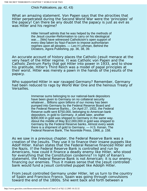Chick Publications, pp. 42, 43)

What an amazing statement. Von Papen says that the atrocities that Hitler perpetrated during the Second World War were the 'principles' of the papacy! Can there be any doubt that the papacy is just as evil as was Hitler and his regime?

> Hitler himself admits that he was helped by the methods of the Jesuit counter-Reformation to carry on his ideological war.... [We] have witnessed Catholicism's open support of every step taken by Nazi-Facism to impose authoritarian regimes upon all peoples. — Leo H Lehman, Behind the Dictators, Agora Publishing, pp. 36, 38, 39.

An accurate account of history places the Catholic-Jesuit menace at the very heart of the Hitler regime. It was Catholic von Papen and the Catholic Zentrum Party that got Hitler into power in 1933, and to show his gratitude, Hitler's Third Reich was a model of papal principles at their worst. Hitler was merely a pawn in the hands of the Jesuits of the papacy.

Who supported Hitler in war ravaged Germany? Remember, Germany had been reduced to rags by World War One and the heinous Treaty of Versailles.

> Immense sums belonging to our national-bank depositors have been given to Germany on no collateral security whatever... Billions upon billions of our money has been pumped into Germany by the Federal Reserve Board and the Federal Reserve Banks... On April 27, 1932, the Federal Reserve outfit sent \$750,000, belonging to American bank depositors, in gold to Germany. A week later, another \$300,000 in gold was shipped to Germany in the same way. About the middle of May \$12,000,000 in gold was shipped to Germany by the Federal Reserve banks. Almost every week there is a shipment of gold to Germany. — H.S. Kenan, The Federal Reserve Bank, The Noontide Press, 1966, p. 158.

As we saw in a previous chapter, the Federal Reserve Bank was a creation of the Jesuits. They use it to finance their insane puppets like Adolf Hitler. Kenan states that the Federal Reserve financed Hitler and the Nazis. If the Federal Reserve Bank is controlled and run by Americans, how could it finance a deadly enemy like Hitler, who stood for everything that the Constitution condemns? In light of Kenan's statement, the Federal Reserve Bank is not American; it is our enemy, financing our enemies. Thus it makes sense that the Jesuit controlled bank would fund a Jesuit controlled puppet like Adolph Hitler.

From Jesuit controlled Germany under Hitler, let us turn to the country of Spain and Francisco Franco. Spain was going through convulsions toward the end of the 1800s. She went back and forth between a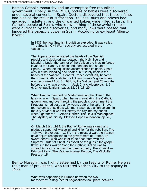Roman Catholic monarchy and an attempt at free republican government. Finally, in the 1930s, bodies of babies were discovered under several convents in Spain. Doctors discovered that these infants had died as the result of suffocation. You see, nuns and priests had engaged in adultery, and the unwanted babies were killed at birth. The Catholic people of Spain, who knew nothing of these awful crimes, were outraged by the discoveries, and many laws were passed that hindered the papacy's power in Spain. According to ex-Jesuit Alberto Rivera:

> In 1936 the new Spanish inquisition exploded. It was called 'The Spanish Civil War,' secretly orchestrated in the Vatican...

The Pope excommunicated the heads of the Spanish republic and declared war between the Holy See and Madrid.... Under the banner of the Vatican the Muslim forces invaded the Canary Islands and then attacked southern Spain... When the inquisition accomplished its goals, Spain was in ruins, bleeding and beaten, but safely back in the hands of the Vatican... General Franco eventually became the Roman Catholic dictator of Spain. Franco's government was recognized Aug. 3, 1937, by the Vatican, just 20 months before the civil war ended. — Jack Chick, Alberto pts. 1, 3, 6, Chick publications, pages 12, 21, 28, 29.

When Franco marched on Madrid nearing the close of the late civil war in Spain, when he was reinstating the Catholic government and overthrowing the people's government the Protestants had set up a few years before, he said, "I have four columns of soldiers with me. I also have a fifth column in the city of Madrid who will betray the city into my hands when I get there." — Albert Garner, The Devil's Masterpiece: The Mystery of Iniquity, Blessed Hope Foundation, pp. 70, 71.

On March 31st, 1934, the Pact of Rome was signed and pledged support of Mussolini and Hitler for the rebellion. The 'holy war' broke out. In 1937, in the midst of war, the Vatican gave dejure recognition to the government of Franco, its sword-bearer, who was later to be decorated with the Supreme Order of Christ. "Blessed be the guns if the gospel flowers in their wake!" Soon the Catholic Action was to spread its tyranny across the ruined country. Pax Christi! — Edmond Paris, The Vatican Against Europe, The Wickliffe Press, p. 15.

Benito Mussolini was highly esteemed by the Jesuits of Rome. He was their man of providence, who restored Vatican City to the papacy in 1929.

> What was happening in Europe between the two massacres? In Italy, secret negotiations took place between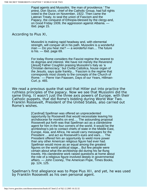Papal agents and Mussolini, 'the man of providence.' The priest, Don Sturzo, chief of the Catholic Group, had full rights voted to the Duce on November, 1922. Then came the Lateran Treaty, to seal the union of Fascism and the Papacy, the conquest of Ethiopia-blessed by the clergy-and, on Good Friday 1939, the aggression against Albania. — Ibid. page 15.

#### According to Pius XI,

Mussolini is making rapid headway and, with elemental strength, will conquer all in his path. Mussolini is a wonderful man — Do you hear me? — a wonderful man.... The future is his. — Ibid. page 69.

For today Rome considers the Fascist regime the nearest to its dogmas and interest. We have not merely the Reverend [Jesuit] Father Coughlin praising Mussolini's Italy as 'a Christian democracy,' but Civilta Cattolica, house organ of the Jesuits, says quite frankly... 'Fascism is the regime that corresponds most closely to the concepts of the Church of Rome.' — Pierre Van Paassen, Days of our Years, Hillman-Curl, p. 465.

We read a previous quote that said that Hitler put into practice the ruthless principles of the papacy. Now we see that Mussolini did the same thing. It wasn't just the three axis powers of Europe, with their Catholic puppets, that did Rome's bidding during World War Two. Franklin Roosevelt, President of the United States, also carried out Rome's wishes.

> [Cardinal] Spellman was offered an unprecedented opportunity by Roosevelt that would necessitate leaving his archdiocese for months on end.… The astounding proposal Roosevelt put forth was that Spellman act as a clandestine agent for him in the four corners of the world. It would be the archbishop's job to contact chiefs of state in the Middle East, Europe, Asia, and Africa. He would carry messages for the President ... and act as Roosevelt's eyes and ears.… The President offered him an opportunity to wield more power than any other American religious figure had ever had. Spellman would move as an equal among the greatest figures on the world political stage... But few people were certain about what the archbishop did during his far-flung travels. His clandestine work raised questions at home about the role of a religious figure involved deeply in governmental affairs. — John Cooney, The American Pope, Times Books, pp. 124, 125.

Spellman's first allegiance was to Pope Pius XII, and yet, he was used by Franklin Roosevelt as his own personal agent.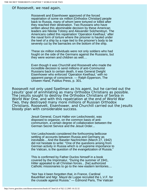Of Roosevelt, we read again,

Roosevelt and Eisenhower approved of the forced repatriation of some six million [Orthodox Christian] people back to Russia, many of whom were tortured or killed after they reached their destination. Two Russians who have written about this abominable decision by these American leaders are Nikolai Tolstoy and Alexander Solzhenitsyn. The Americans called this repatriation 'Operation Keelhaul,' after the naval form of torture where the prisoner is hauled under the keel of a ship by a rope tied to the prisoner's body to be severely cut by the barnacles on the bottom of the ship.

These six million individuals were not only soldiers who had fought on the side of the Germans against the Russians, but they were women and children as well....

Even though it was Churchill and Roosevelt who made the incredible decision to send millions of anti-Communist Russians back to certain death, it was General Dwight Eisenhower who enforced 'Operation Keelhaul,' with no apparent pangs of conscience. — Ralph Epperson, The Unseen Hand, Publius Press, p. 301.

Roosevelt not only used Spellman as his agent, but he carried out the Jesuits' goal of annihilating as many Orthodox Christians as possible. The Jesuits sought to destroy the Orthodox Christians of Serbia in World War One, and with this repatriation at the end of World War Two, they destroyed many more millions of Russian Orthodox Christians. Roosevelt, Eisenhower, and Churchill carried out the Jesuits bloody plan with considerable success.

> Jesuit General, Count Halke von Ledochowski, was disposed to organize, on the common basis of anticommunism, a certain degree of collaboration between the German Secret Service and the Jesuit Order...

Von Ledochowski considered the forthcoming bellicose settling of accounts between Russia and Germany as inevitable... And the Baseler Nachrichten (March 27, 1942) did not hesitate to write: "One of the questions arising from German activity in Russia which is of supreme importance to the Vatican, is the question of the evangelization of Russia."

This is confirmed by Father Duclos himself in a book covered by the Imprimatur, "During the summer of 1941, Hitler appealed to all Christian forces... [he] authorized Catholic missionaries to go to the new eastern territories....

"Nor has it been forgotten that, in France, Cardinal Baudrillart and Mgr. Mayol de Luppe recruited the L.V.F. for the crusade against Russia." — Edmond Paris, The Vatican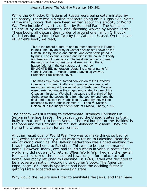Against Europe, The Wickliffe Press, pp. 240, 241.

While the Orthodox Christians of Russia were being exterminated by the papacy, there was a similar massacre going on in Yugoslavia. Some of the many books that have been written about this atrocity of World War Two include Convert... or Die! by Edmond Paris, The Vatican's Holocaust by Avro Manhattan, and Ravening Wolves by Monica Farrell. These books all discuss the murder of around one million Orthodox Christians during World War Two by the Catholic Ustashi. On the cover of Farrell's book, we read,

> This is the record of torture and murder committed in Europe in 1941-1943 by an army of Catholic Actionists known as the Ustashi, led by monks and priests, and even participated in by nuns. The victims suffered and died in the cause of liberty and freedom of conscience. The least we can do is to read the record of their sufferings and keep in mind that it happened, not in the dark ages, but in our own ENLIGHTENED generation. Ustashi is another name for Catholic Action. — Monica Farrell, Ravening Wolves, Protestant Publications, cover.

> The mass expulsion or forced conversion of the Orthodox Christians to Roman Catholicism was on the agenda. All measures, aiming at the elimination of Serbdom in Croatia were carried out under the slogan enunciated by one of the Croatian ministers: "We shall massacre the first third of the Serbs, expel the second third from the country and force the final third to accept the Catholic faith, whereby they will be absorbed by the Catholic element." — Lazo M. Kostich, Holocaust in the Independent State of Croatia, Liberty, p. 18.

The papacy was still trying to exterminate Orthodox Christians in Serbia in the late 1990s. The papacy used the United States as their bully in that conflict to bomb Serbia. The real butcher of the 'Balkins' is the pope and the Catholic Church, not Slobodan Milosevic. They are trying the wrong person for war crimes.

Another Jesuit goal of World War Two was to make things so bad for the Jewish race that they would want to return to Palestine. Near the end of World War One, the Balfour Declaration was signed enabling the Jews to go back home to Palestine. This was to be their permanent home. However, many Jews had found success in various parts of the world and did not want to return. When World War Two and the Jewish Holocaust occurred, the persecuted Jews longed for a place to call home, and many returned to Palestine. In 1948, Israel was declared to be a sovereign nation. According to Cooney's book, The American Pope, page 187, Francis Spellman had been the deciding factor in getting Israel accepted as a sovereign state.

Why would the Jesuits use Hitler to annihilate the Jews, and then have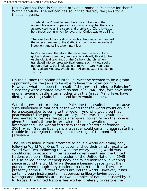Jesuit Cardinal Francis Spellman provide a home in Palestine for them? Watch carefully. The Vatican has sought to destroy the Jews for a thousand years.

> ... behind the Zionist banner there was to be found the ancient Messianic hope for the coming of a global theocracy, as predicted by all the seers and prophets of Zion. It was to be a theocracy in which Jehovah, not Christ, was to be King.

The spectre of the creation of such a theocracy has haunted the inner chambers of the Catholic church from her earliest inception, and still is a dominant fear.

In Vatican eyes, therefore, the millenarian yearning for a global Hebrew theocracy, represents a deadly threat to the eschatological teachings of the Catholic church. When translated into concrete political terms, such a view spells not only rivalry, but implacable enmity. — Avro Manhattan, The Vatican Moscow Washington Alliance, Ozark Books, pp. 169, 170.

On the surface the nation of Israel in Palestine seemed to be a grand opportunity for the Jews to be able to have their own country. However, what has been the result of the Jews returning to Palestine? Since they were granted sovereign status in 1948, the Jews have been in one ravaging battle after another with the Arabs. Many Jews have died, just as the Jesuits hoped and knew would happen.

With the Jews' return to Israel in Palestine the Jesuits hoped to cause such bloodshed in that part of the world that the world would cry out for a peacemaker to come to the region. And who would be that peacemaker? The pope of Vatican City, of course. The Jesuits have long wanted to restore the pope's temporal power. When the pope is given Solomon's throne in Jerusalem, the long-awaited goal will be accomplished. The war on terrorism that originated September 11, 2001, which George Bush calls a crusade, could certainly aggravate the trouble in that region to bring about the reign of the pontiff from Jerusalem.

The Jesuits failed in their attempts to have a world governing body following World War One. They accomplished their sinister goal after World War Two. Following the war, the weary, aching world was conditioned to accept an international government, and the United Nations was born. Since the creation of the United Nations in 1945, this so-called 'peace-keeping' body has failed miserably in keeping peace around the world. Why? Because keeping peace is not their purpose, even though they continue to claim that it is. There are presently some 83 different wars around the world. However, it has certainly been instrumental in suppressing liberty loving people. Katanga and Rhodesia are just two examples of nations crushed by U. N. forces. The United Nations has worked tirelessly to restore the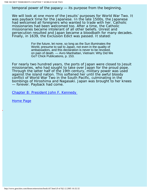temporal power of the papacy — its purpose from the beginning.

We will look at one more of the Jesuits' purposes for World War Two. It was payback time for the Japanese. In the late 1500s, the Japanese had welcomed all foreigners who wanted to trade with her. Catholic missionaries had been welcomed too. After a time, the Catholic missionaries became intolerant of all other beliefs. Unrest and persecution resulted and Japan became a bloodbath for many decades. Finally, in 1639, the Exclusion Edict was passed. It stated:

> For the future, let none, so long as the Sun illuminates the World, presume to sail to Japan, not even in the quality of ambassadors, and this declaration is never to be revoked, on pain of death. — Avro Manhattan, Vietnam: Why Did We Go? Chick Publications, p. 153.

For nearly two hundred years, the ports of Japan were closed to Jesuit missionaries, who had sought to take over Japan for the proud pope. Through the latter half of the 19th century, military power was used against the island nation. This softened her until the awful bloody conflict of World War Two in the South Pacific, culminating in the bombings of Hiroshima and Nagasaki. Japan was brought to her knees — forever. Payback had come.

[Chapter 8: President John F. Kennedy](#page-58-0) 

[Home Page](http://www.geocities.com/thesecretterrorists)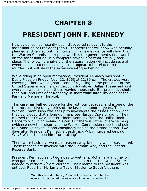# **CHAPTER 8**

# <span id="page-58-0"></span>**PRESIDENT JOHN F. KENNEDY**

New evidence has recently been discovered relevant to the assassination of President John F. Kennedy that will show who actually planned and carried out his murder. This new evidence will show that the Warren Commission report, which is the government's final word on the assassination, is a complete cover-up of what actually took place. The following analysis of the assassination will include several events and situations that might not appear to be related to this murder, but will show the extensive intrigue behind it.

While riding in an open motorcade, President Kennedy was shot in Dealy Plaza on Friday, Nov. 22, 1963 at 12:30 p.m. The crowds were cheering. There was a great scene of rejoicing as the president of the United States made his way through downtown Dallas. It seemed as if everyone was smiling in those waving thousands. But presently, shots rang out, and President Kennedy, a short while later, lay dead at the Parkland Memorial Hospital.

This case has baffled people for the last four decades, and is one of the ten most unsolved mysteries of the last one hundred years. The Warren Commission was set up to investigate the assassination, and they concluded that a lone gunman, Lee Harvey Oswald, did it. They claimed that Oswald shot President Kennedy from the Dallas Book Depository building behind his car. But there is rather overwhelming evidence now that disproves the Warren Commission report and points to a massive cover-up and conspiracy behind the assassination. Two days after President Kennedy's death Jack Ruby murdered Oswald. Why? Was it to keep him from talking?

There were basically two main reasons why Kennedy was assassinated. These reasons are involved with the Vietnam War, and the Federal Reserve Bank.

President Kennedy sent two aides to Vietnam, McNamara and Taylor, who gathered intelligence that convinced him that the United States needed to withdraw from Vietnam. Their memo to the president was entitled, *Report of McNamara-Taylor Mission to South Vietnam.*

> With this report in hand, President Kennedy had what he wanted. It contained the essence of decisions he had to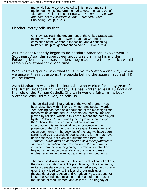make. He had to get re-elected to finish programs set in motion during his first term; he had to get Americans out of Vietnam. — Col. L. Fletcher Prouty, JFK: The CIA, Vietnam, and The Plot to Assassinate John F. Kennedy, Carol Publishing Group, p. 264.

Fletcher Prouty tells us that,

On Nov. 22, 1963, the government of the United States was taken over by the superpower group that wanted an escalation of the warfare in Indochina, and a continuing military buildup for generations to come. — Ibid. p. 264.

As President Kennedy began to de-escalate American involvement in Southeast Asia, this superpower group was planning his murder. Following Kennedy's assassination, they made sure that America would remain in Vietnam for a long time.

Who was this group? Who wanted us in South Vietnam and why? When we answer these questions, the people behind the assassination of JFK will be known.

Avro Manhattan was a British journalist who worked for many years for the British Broadcasting Company. He has written at least 15 books on the role of the Roman Catholic Church in world affairs. In his book, Vietnam: Why Did We Go?, he tells us,

> The political and military origin of the war of Vietnam has been described with millions of written and spoken words. Yet, nothing has been said about one of the most significant forces which contributed to its promotion, namely, the role played by religion, which in this case, means the part played by the Catholic Church, and by her diplomatic counterpart, the Vatican. Their active participation is not mere speculation. It is an historical fact as concrete as the presence of the U.S., or the massive guerilla resistance of Asian communism. The activities of the last two have been scrutinized by thousands of books, but the former has never been assessed, not even in a summarized form. The Catholic Church must be considered as a main promoter in the origin, escalation and prosecution of the Vietnamese conflict. From the very beginning this religious motivation helped set in motion the avalanche that was to cause endless agonies in the Asiatic and American continents.

> The price paid was immense: thousands of billions of dollars; the mass dislocation of entire populations; political anarchy; military devastation on an unprecedented scale; the disgrace upon the civilized world; the loss of thousands upon thousands of young Asian and American lives. Last but not least, the wounding, mutilation, and death of hundreds of thousands of men, women, and children. The tragedy of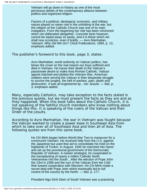Vietnam will go down in history as one of the most pernicious deeds of the contemporary alliance between politics and organized religion.

Factors of a political, ideological, economic, and military nature played no mean role in the unfolding of the war, but the religion of the Catholic Church was one of its main instigators. From the beginning her role has been minimized when not obliterated altogether. Concrete facts however, cannot be wiped away so easily, and it is these which we shall now scrutinize, even if briefly. — Avro Manhattan, Vietnam: Why Did We Go?, Chick Publications, 1984, p. 13, emphasis added.

The publisher's foreword to this book, page 3, states:

Avro Manhattan, world authority on Vatican politics, has blown the cover on the real reason our boys suffered and died in Vietnam. He traces their death to the Vatican's passionate desire to make Asia Roman Catholic. Vatican agents hatched and plotted the Vietnam War. American soldiers were serving the Vatican in their desperate struggle to survive the jungles, the hell of warfare, pain, death and destruction. It was all engineered by...her Jesuits. — Ibid. p. 3, emphasis added.

Many, especially Catholics, may take exception to the facts stated in the previous quotes, but we must present the facts as they are and as they happened. When this book talks about the Catholic Church, it is not speaking of the faithful church members who know nothing about things like this. It is speaking of the rulers of the Vatican and their Order of the Jesuits.

According to Avro Manhattan, the war in Vietnam was fought because the Vatican wanted to create a power base in Southeast Asia from which to take over all of Southeast Asia and then all of Asia. The following quotes are from this same book.

> Ho Chi Minh began before World War Two to maneuver for a communist Vietnam. He received help from the U.S. against the Japanese but used that aid to consolidate his hold on the highlands of Tonkin. In August, 1945 he marched into Hanoi and set up the provisional government of the Democratic Republic of Vietnam. A master strategist, he cooperated in the transplanting of nearly a million Catholic North Vietnamese into the South…After the election of Pope John the 23rd in 1958 and the turn of the Vatican from the Cold War toward cooperation with Marxism, Ho Chi Minh made a secret deal with Pope John which eventually led to full control of the country by the North. — Ibid. p. 177.

President Ngo Dinh Diem of South Vietnam was a practicing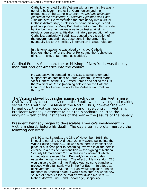Catholic who ruled South Vietnam with an iron fist. He was a genuine believer in the evil of Communism and the uniqueness of the Catholic Church. He had originally been planted in the presidency by Cardinal Spellman and Pope Pius the 12th. He transformed the presidency into a virtual Catholic dictatorship, ruthlessly crushing his religious and political opponents. Many Buddhist monks committed suicide by fire, burning themselves alive in protest against his religious persecutions. His discriminatory persecution of non-Catholics, particularly Buddhists, caused the disruption of the government and mass desertions in the army. This eventually led to U.S. military intervention in South Vietnam.

In this terrorization he was aided by his two Catholic brothers, the Chief of the Secret Police and the Archbishop of Hue. — Ibid. p. 56, (emphasis added).

Cardinal Francis Spellman, the archbishop of New York, was the key man that brought America into the conflict.

> He was active in persuading the U.S. to select Diem and support him as president of South Vietnam. He was made Vicar General of the U.S. Armed Forces and called the GIs the 'Soldiers of Christ' [meaning soldiers for the Catholic Church] in his frequent visits to the Vietnam war front. — Ibid. p. 71.

The Vatican played both sides against each other in this Vietnamese Civil War. They controlled Diem in the South while advising and making secret deals with Ho Chi Minh in the North. Thus, however the war turned out, the Vatican would triumph and have control in Vietnam. President Kennedy's attempt to halt the bloodbath incurred the undying wrath of the instigators of the war — the Jesuits of the papacy.

President Kennedy began to de-escalate America's involvement in Vietnam shortly before his death. The day after his brutal murder, the following occurred:

> At 8:30 a.m., Saturday, the 23rd of November, 1963, the limousine carrying CIA director John McCone pulled into the White House grounds…. He was also there to transact one piece of business prior to becoming involved in all the details entailed in a presidential transition — the signing of National Security Memorandum 278, a classified document which immediately reversed John Kennedy's decision to deescalate the war in Vietnam. The effect of Memorandum 278 would give the Central IntellParice Agency carte blanche to proceed with a full-scale war in the Far East…. In effect, as of November 23, 1963, the Far East would replace Cuba as the thorn in America's side. It would also create a whole new source of narcotics for the Mafia's worldwide markets. — Robert Morrow, First Hand Knowledge, Shapolsky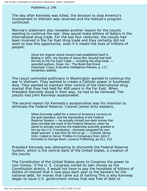Publishers, p. 249.

The day after Kennedy was killed, the decision to stop America's involvement in Vietnam was reversed and the Vatican's program continued.

Morrow's statement also revealed another reason for the Jesuits wanting to continue the war; they would make billions of dollars in the international drug trade. For the last four centuries, the Jesuits had been involved in the Far East drug trade and they certainly did not want to lose this opportunity, even if it meant the lives of millions of people!

> Since the original *Jesuit mission* had established itself in Beijing in 1601, the Society of Jesus [the Jesuits] had held the key to the Far East Trade — including the drug trade. assorted authors, Dope, Inc.: The Book that Drove Kissenger Crazy, Executive Intelligence Review, p. 117, (emphasis added).

The Jesuit controlled politicians in Washington wanted to continue the war in Vietnam. They wanted to create a Catholic power in Southeast Asia. They wanted to maintain their control of the international drug market that they had held for 400 years in the Far East. When President Kennedy stood in their way, he had to be removed. The Jesuits had John Kennedy assassinated.

The second reason for Kennedy's assassination was his intention to eliminate the Federal Reserve. Colonel James Gritz explains,

> When Kennedy called for a return of America's currency to the gold standard, and the dismantling of the Federal Reserve System — he actually minted non-debt money that does not bear the mark of the Federal Reserve; when he dared to actually exercise the leadership authority granted to him by the U.S. Constitution…Kennedy prepared his own death warrant. It was time for him to go. — Colonel James Gritz, Called to Serve: Profiles in Conspiracy from John F. Kennedy to George Bush, Lazarus Publishing, pp 511, 512.

President Kennedy was attempting to dismantle the Federal Reserve System, which is the central bank of the United States, a creation of the Jesuits.

The Constitution of the United States gives to Congress the power to coin money. If the U. S. Congress coined its own money as the Constitution directs, it would not have to pay the hundreds of billions of dollars of interest that it now pays each year to the bankers for the national debt, for money that came out of nothing This is why Kennedy began to issue U.S. government money that was free of debt to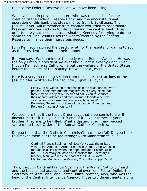replace the Federal Reserve dollars we have been using.

We have seen in previous chapters who was responsible for the creation of the Federal Reserve Bank, and the unconstitutional operation of this bank that steals money from U.S. citizens. The Jesuits, if you will remember from chapter two, tried to assassinate President Andrew Jackson for discontinuing the central bank. They unfortunately succeeded in assassinating Kennedy for trying to do the same thing. The Jesuits uses the wealth created by the Federal Reserve to finance their murderous deeds.

John Kennedy incurred the deadly wrath of the Jesuits for daring to act as the President and not as their puppet.

But you say, "Wait a minute. Kennedy was a Roman Catholic. He was the only Catholic president we ever had." That is exactly right. Even though Kennedy was Catholic, he put the welfare of the United States before the desires of the papacy. He was not a Jesuit.

Here is a very interesting section from the secret instructions of the Jesuit Order, written by their founder, Ignatius Loyola.

> Finally, let all with such artfulness gain the ascendance over princes, noblemen and the magistrates of every place that they may be ready at our beck and call, even to sacrifice their nearest relatives and most intimate friends when we say it is for our interest and our advantage. — W. C. Brownlee, Secret Instructions of the Jesuits, American and Foreign Christian Union, p. 47.

We see here that if the Jesuit Order says that a person is to die, it doesn't matter if it is your best friend, if it is your father or your brother; they are to be killed. What a dastardly, evil, and wicked system the Jesuit Order of the Roman Catholic Church is.

Do you think that the Catholic Church isn't that powerful? Do you think this makes them out to be too strong? Avro Manhattan tells us:

> Cardinal Francis Spellman, of New York , was the military vicar of the American Armed Forces in Vietnam. He was also the unofficial link between the pope and John Foster Dulles, the U.S. Secretary of State and therefore the Secretary's brother, Alan, who was the head of the CIA. — Avro Manhattan, Murder in the Vatican, Ozark Books, pp. 35, 36.

Thus, through Cardinal Francis Spellman, the Roman Catholic Church and the Jesuits had access to and control over John Foster Dulles, the Secretary of State, and John Foster Dulles' brother, Alan, who was the head of the Central Intelligence Agency. Those two departments, along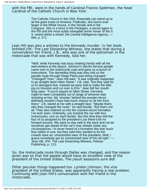with the FBI, were in the hands of Cardinal Francis Spellman, the head Cardinal of the Catholic Church in New York.

> The Catholic Church in the USA, financially can stand up to all the giant trusts of America. Politically, she looms ever larger in the White House, in the Senate and in the Congress. She is a force in the Pentagon, a secret agent in the FBI and the most subtly intangible prime mover of the S. S. wheel within a wheel; the Central Intelligence Agency. — Ibid. p. 271.

Jean Hill was also a witness to the Kennedy murder. In her book, entitled JFK: The Last Dissenting Witness, she states that during a conversation her friend, J.B., who was one of the policeman in the motorcade that was with Kennedy, told her,

> "Well, while Kennedy was busy shaking hands with all the well wishers at the airport, Johnson's Secret Service people came over to the motorcycle cops and gave us a bunch of instructions. The darnedest thing was they told us the parade route through Dealy Plaza was being changed." "Changed? How," Jean Hill asks. "It was originally supposed to go straight down Main Street." J.B. said, "but they said for us to disregard that. Instead we were told to make the little jog on Houston and cut over to Elm." Jean felt her mouth drop open. "If you'd stayed on Main Street, Kennedy might've been completely out of range of whoever was shooting at him. My 'shooter' behind the wooden fence definitely wouldn't have had much chance to hit him from there." J.B. stared at her with a straight face. "Maybe that's why they changed the route," he said bluntly. "But that's not all. They also ordered us into the craziest escort formation I've ever seen. Ordinarily, you bracket the car with four motorcycles, one on each fender. But this time they told the four of us assigned to the president's car there'd be no forward escorts. We were to stay well to the back and not let ourselves get ahead of the car's rear wheels under any circumstances. I'd never heard of a formation like that much less ridden in one, but they said they wanted to let the crowds have an 'unrestricted view' of the president. Well, I guess somebody got an unrestricted view of him all right." — Jean Hill, JFK: The Last Dissenting Witness, Pelican Publishing, p. 113.

So, the motorcade route through Dallas was changed, and the reason given was so that the people would have an excellent view of the president of the United States. The Jesuit assassins sure did!

Other peculiar things happened too. Lyndon Johnson, the vice president of the United States, was apparently having a real problem. Continuing with Jean Hill's conversation with her friend in the motorcade,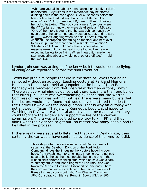"What are you talking about?" Jean asked innocently. "I don't understand." "My friends in the motorcade say he started ducking down in the car a good 30 or 40 seconds before the first shots were fired. I'd say that's just a little peculiar wouldn't you?" "Oh, come on, J.B," Jean Hill said, thinking he had to be joking. "They obviously weren't serious, were they?" "As far as I know they were dead serious." J.B. said. "One of them told Maguire that he saw Johnson duck down even before the car turned onto Houston Street, and he sure as \_\_\_\_ wasn't laughing when he said it." "Well, maybe Johnson just dropped something on the floor and bent over to pick it up. I mean there can be a simple explanation." "Maybe so." J.B. said. "I don't claim to know what his reasons were but this guy said it sure looked like he was expecting bullets to be flying. When I heard it, it made me start wondering about a whole lot of other stuff too." — Ibid. pp. 114-116.

Lyndon Johnson was acting as if he knew bullets would soon be flying, ducking down repeatedly before the shots went off.

Texas law prohibits people that die in the state of Texas from being removed without an autopsy. Leading doctors at Parkland Memorial Hospital in Dallas were held at gunpoint as the body of John F. Kennedy was removed from that hospital without an autopsy. Why? There was overwhelming evidence that there was more than one bullet that killed JFK. There was overwhelming evidence that the Warren Commission report was nothing but lies. There were many bullets that the doctors would have found that would have shattered the idea that Lee Harvey Oswald was the loan gunman. That is why an autopsy was not allowed in Texas. That is why Kennedy's body was shipped to Washington D.C. where a federal autopsy could be made, where they could fabricate the evidence to support the lies of the Warren commission. There was a Jesuit led conspiracy to kill JFK and they didn't want the evidence to get out, no matter how many people had to be killed in the process.

If there really were several bullets fired that day in Dealy Plaza, then certainly the car would have contained evidence of this. And so it did.

> Three days after the assassination, Carl Renas, head of security at the Dearborn Division of the Ford Motor Company, drives the limousine, helicopters hovering over head, from Washington to Cincinnati. In doing so, he noticed several bullet holes, the most notable being the one in the windshield's chrome molding strip, which he said was clearly 'a primary strike' and 'not a fragment,' The limousine was taken by Renas to Hess and Eisenhart of Cincinnati where the chrome molding was replaced. The Secret Service told Renas to "keep your mouth shut." — Charles Crenshaw, JFK: Conspiracy of Silence, Penguin Books USA, p. 106.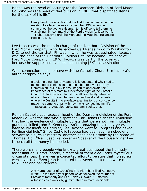Renas was the head of security for the Dearborn Division of Ford Motor Co. Who was the head of that division in 1963 that dispatched Renas for the task of his life?

> Henry Ford II says today that the first time he can remember meeting Lee Iacocca was in November 1960 when he summoned the young salesman to his office to tell them he was giving him command of the Ford division [at Dearborn]. — Robert Lacey, Ford, the Men and the Machine, Ballantine Books, p. 531.

Lee Iacocca was the man in charge of the Dearborn Division of the Ford Motor Company, who dispatched Carl Renas to go to Washington D.C. to get the car that JFK was in when he was assassinated. Iacocca was the head of the Dearborn Division until he became President of Ford Motor Company in 1970. Iacocca was part of the cover-up because he suppressed evidence concerning JFK's assassination.

What connection does he have with the Catholic Church? In Iacocca's autobiography he says,

> It took me a number of years to fully understand why I had to make a good confession to a priest before I went to Holy Communion, but in my teens I began to appreciate the importance of this most misunderstood right of the Catholic Church. In later years, I found myself completely refreshed after confession. I even began to attend weekend retreats where the Jesuits in face-to-face examinations of conscience made me come to grips with how I was conducting my life. — Iacocca: An Autobiography, Bantam Books, p. 8.

Roman Catholic Lee Iacocca, head of the Dearborn division of the Ford Motor Co. was the one who dispatched Carl Renas to get the limousine that had the evidence of multiple bullets that were shot from multiple guns that killed John F. Kennedy. Isn't it amazing that many years later as President of Chrysler, Lee Iacocca went to Congress and asked for financial help? Since Catholic Iacocca had been such an obedient servant to his Jesuit masters, another obedient Catholic by the name of Thomas 'Tip' O'Neill used his power as Speaker of the House to get Lee Iacocca all the money he needed.

There were many people who knew a great deal about the Kennedy assassination. Unfortunately, almost all of them died under mysterious circumstances. There was a concerted effort to be sure that no secrets were ever told. Even Jean Hill stated that several attempts were made to kill her and her children.

> Jim Marrs, author of Crossfire: The Plot That Killed Kennedy, wrote: "In the three-year period which followed the murder of President Kennedy and Lee Harvey Oswald, 18 material witnesses died — six by gunfire, three in motor accidents,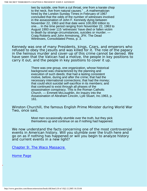two by suicide, one from a cut throat, one from a karate chop to the neck, five from natural causes." ...A mathematician hired by the London Sunday Times in February of 1967 concluded that the odds of the number of witnesses involved in the assassination of John F. Kennedy dying between November 22, 1963 and that date were 100,000 trillion to one.... In the time period ranging from November 22, 1963 to August 1993 over 115 'witnesses' have died or fallen victim to death by strange circumstances, suicides or murder. — Craig Roberts and John Armstrong, JFK: The Dead Witnesses, Consolidated Press, p. 3.

Kennedy was one of many Presidents, kings, Czars, and emperors who refused to obey the Jesuits and was killed for it. The role of the papacy in the heinous murder and cover-up of this crime cannot be denied. We have seen that the Vatican had a motive, the people in key positions to carry it out, and the people in key positions to cover it up.

> There was one group, one organization, whose historical background was characterized by the planning and execution of such deeds; that had a lasting consistent motive, before, during and after the crime; that had the necessary international connections; that had the money; that could elicit suicidal self-sacrifice in its members; and that continued to exist through all phases of the assassination conspiracy. This is the Roman Catholic Church. — Emmett McLoughlin, An Inquiry into the Assassination of Abraham Lincoln, Lyle Stuart, Inc.1963, p. 161.

Winston Churchill, the famous English Prime Minister during World War Two, once said,

> Most men occasionally stumble over the truth, but they pick themselves up and continue on as if nothing had happened.

We now understand the facts concerning one of the most controversial events in American history. Will you stumble over the truth here and go on as if nothing has happened or will you begin to analyze history and current events in a new light?

[Chapter 9: The Waco Massacre](#page-68-0)

[Home Page](http://www.geocities.com/thesecretterrorists)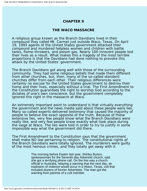### **CHAPTER 9**

### **THE WACO MASSACRE**

<span id="page-68-0"></span>A religious group known as the Branch Davidians lived in their compound they called Mt. Carmel just outside Waco, Texas. On April 19, 1993 agents of the United States government attacked their compound and murdered helpless women and children with battle tanks, flame-throwers, and poison gas. Nearly 100 innocent people lost their lives as a result. What makes this a tragedy of the most terrible proportions is that the Davidians had done nothing to provoke this attack by the United States' government.

The Branch Davidians got along well with those of the surrounding community. They had some religious beliefs that made them different from other churches, but, then, many of the so-called standard churches differ from each other. Their religious differences were certainly no excuse for the United States government to destroy their home and their lives, especially without a trial. The First Amendment to the Constitution guarantees the right to worship God according to the dictates of one's own conscience, but the government completely ignored this right in the massacre at Waco.

An extremely important point to understand is that virtually everything the government and the news media said about these people were lies. Many so-called experts delivered testimony that caused the majority of people to believe the exact opposite of the truth. Because of these extensive lies, very few people know what the Branch Davidians were really like, and very few people know exactly what took place during the siege at Waco. The lies were told in order to try to justify in some impossible way what the government did there.

The First Amendment to the Constitution says that the government shall make NO law pertaining to religion. The constitutional rights of the Branch Davidians were totally ignored. The murderers were guilty of the most heinous crimes, and they totally got away with it.

> The morning before Easter last year, Shirley Burton, spokeswoman for the Seventh-day Adventist church, said she got a terrifying phone call. On the line was a church official in Australia, relaying a warning that the next day, an explosion of violence would occur in a Waco, Texas, cult that included dozens of former Adventists. The man got the warning from parents of a cult member.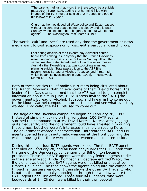"The parents had just had word that there would be a suicidemassacre," Burton said, adding that her mind filled with images of the 1978 murder-suicide of Jim Jones and 900 of his followers in Guyana.

Church authorities tipped off Waco police and Easter passed without incident. But peace came to a bloody end this past Sunday, when sect members began a shoot out with federal agents. — The Washington Post, March 3, 1993.

The words "cult" and "sect" are used any time the government or news media want to cast suspicion on or discredit a particular church group.

> Last spring officials of the Seventh-day Adventist church heard from colleagues in Sydney that the Branch Davidians were planning a mass suicide for Easter Sunday. About the same time the State Department got word from sources in Australia that Koresh's group was stockpiling arms and planning suicide. State passed it on to the ATF [the government's Bureau of Alcohol, Tobacco, and Firearms] which began its investigation in June [1992]. — Newsweek, March 15, 1993.

Both of these articles tell of malicious rumors being circulated about the Branch Davidians. Nothing ever came of them. David Koresh, the leader of the Davidians, learned that the ATF wanted to get complete information about him in June, 1992. Koresh invited the BATF [the government's Bureau of Alcohol, Tobacco, and Firearms] to come out to the Mount Carmel compound in order to look and see what ever they wanted. Tragically, the BATF refused to come out.

The siege on the Davidian compound began on February 28, 1993. Instead of simply knocking on the front door, 100 BATF agents stormed the compound to arrest David Koresh. Koresh went jogging quite frequently, and the government could have arrested him during those times, but they weren't interested in simply arresting Koresh. The government wanted a confrontation. Unthreatened BATF and FBI agents opened fire with automatic weapons at the front door and the walls, knowing that there were innocent women and children inside.

During this siege, four BATF agents were killed. The four BATF agents, that died on February 28, had all been bodyguards for Bill Clinton from the time of the Democratic convention until Bill Clinton became president. These four BATF agents were the only federal agents to die in the siege at Waco. Linda Thompson's videotape entitled Waco, the Big Lie, shows that those BATF agents were not killed or shot at by Branch Davidians. The tape shows the agents going into the compound through an upstairs window. It then shows the other BATF agent, who is out on the roof, actually shooting in through the window where those BATF agents had just entered. Those four BATF agents, who were bodyguards of Bill Clinton, were killed by their own people!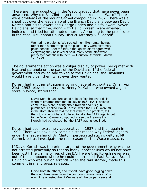There are many questions in the Waco tragedy that have never been answered. Why did Bill Clinton go to such extremes at Waco? There were problems at the Mount Carmel compound in 1987. There was a shoot out over the leadership of the Branch Davidians between David Koresh and his followers and George Roden and his followers. Seven Davidians, at that time, along with David Koresh, were arrested, indicted, and tried for attempted murder. According to the prosecutor in the case, McClennan County District Attorney Vic Feazell:

> We had no problems. We treated them like human beings rather than storm-trooping the place. They were extremely polite people. After the trial, although we didn't agree with everything they believed or said, many of the staff were pretty sympathetic with them. — Houston Chronicle, March 1st, 1993.

The government's action was a vulgar display of power, being met with fear and paranoia on the part of the Davidians. If the federal government had called and talked to the Davidians, the Davidians would have given them what ever they wanted.

Koresh had another situation involving Federal authorities. On an April 21st, 1993 television interview, Henry McMahon, who owned a gun store in Waco, stated that

> David Koresh has purchased at least fifty thousand dollars worth of firearms from me. In July of 1992, BATF officers came to my store, asking about Koresh and his gun purchases. I called David Koresh, while the BATF were still in the store. Koresh told me that if there is a problem, tell them to come out here. I offered to take the BATF agents out to the Mount Carmel compound to see the firearms that Koresh had purchased, but the BATF agents declined.

Koresh had been extremely cooperative in 1987 and then again in 1992. There was obviously some sinister reason why Federal agents, under the leadership of Bill Clinton, perpetrated such cruelty at Mt. Carmel. Let us investigate the real reason for the Waco massacre.

If David Koresh was the prime target of the government, why was he not arrested peacefully so that so many innocent lives would not have been lost? The claims or lies of the BATF were that Koresh never was out of the compound where he could be arrested. Paul Fatta, a Branch Davidian who was out on errands when the raid started, made this comment in many press releases.

> David Koresh, others, and myself, have gone jogging down the road three miles from the compound many times. Why wasn't he arrested then? We were off the property several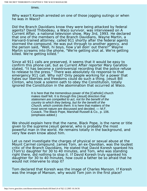times.

Why wasn't Koresh arrested on one of those jogging outings or when he was in Waco?

Did the Branch Davidians know they were being attacked by federal agents? David Thibodeau, a Waco survivor, was interviewed on A Current Affair, a national television show, May 3rd, 1993. He declared that one of the members of the Branch Davidians, Wayne Martin, a Harvard-trained attorney, called 911 shortly after the federal agents stormed the compound. He was put through to another agency, and the person said, "Well, hi boys, how y'all doin' out there?" Wayne Martin screams into the phone, "We're getting shot at. We're getting killed. We're getting killed."

Since all 911 calls are preserved, it seems that it would be easy to confirm this phone call, but as Current Affair reporter Mary Garafolo stated, "It has become a controversial recording that the police refuse to release to the press." There was absolutely no response to that emergency 911 call. Why not? Only people working for a power that hates our liberties and freedoms could do such a thing. Jesuit Bill Clinton, who took a solemn oath to obey the Constitution, totally ignored the Constitution in the abomination that occurred at Waco.

> It is here that the tremendous power of the [Catholic] church makes itself felt. It is through this [Jesuit] direction that statesmen are compelled to act, not for the benefit of the country to which they belong, but for the benefit of the Church, which controls them. It is here that matters of the most secret nature are discussed and decided. — M.F. Cusack, The Black Pope, Marshall Russell & Co., p. 106. (emphasis added.)

We should explain here that the name, Black Pope, is the name or title given to the supreme Jesuit general, who is probably the most powerful man in the world. He remains totally in the background, and very few even know about him.

Let us next investigate the charges of physical or sexual abuse at the Mount Carmel compound. James Tom, an ex-Davidian, was the loudest critic of the Branch Davidians. He stated that David Koresh spanked his (Tom's) daughter for 30 to 40 minutes, and Tom, who was standing right there, did nothing to stop it. If David Koresh truly spanked his daughter for 30 to 40 minutes, how could a father be so afraid that he would not intervene to stop it?

Tom declared that Koresh was the image of Charles Manson. If Koresh was the image of Manson, why would Tom join in the first place?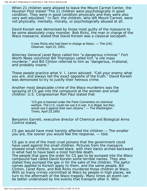When 21 children were allowed to leave the Mount Carmel Center, the Houston Post stated "The 21 children were psychologically in good condition. They were in good condition physically and they were also very well educated." In fact, the children, who left Mount Carmel, were not physically, mentally, morally, or psychologically abused at all.

David Koresh was demonized by those most guilty of the massacre to be some absolutely crazy monster. Bob Ricks, the man in charge of the Waco massacre, stated that David Koresh was a classical sociopath.

> It was Ricks who had been in charge at Waco. — The (UK) Observer, April 22, 2001.

Attorney General Janet Reno called him "a dangerous criminal." Fort Worth News columnist Bill Thompson called him "a vile mass murderer," and Bill Clinton referred to him as "dangerous, irrational, and probably insane."

These people practice what V. I. Lenin advised: "Call your enemy what you are, and always tell the exact opposite of the truth." David Koresh was demonized to try to justify their heinous crime.

Another most despicable crime of the Waco murderers was the spraying of CS gas into the compound at the women and small children. U.S. Congressman Ron Paul stated that

> "CS gas is banned under the Paris Convention on chemical warfare. The U.S. could not use it in war. It is illegal, but they would use it against their own citizens." — The Washington Times, April 23,1993.

Benjamin Garrett, executive director of Chemical and Biological Arms Control stated,

CS gas would have most harshly affected the children — The smaller you are, the sooner you would feel the response. — Ibid.

CS gas is one of the most cruel poisons that the government could have used against the small children. Pictures from the massacre showed small children, burned black, with their backs arched backward in what had to have been a most horrible death.

The people that gave the order for CS gas to be pumped into the Waco compound had called David Koresh some terrible names. They also stated they pumped the gas in for the sake of the children. The awful names applied to Koresh apply to them, and the same people, Bill Clinton, Janet Reno, and Bob Ricks murdered those children at Waco. With so many crimes committed at Waco by people in high places, we turn to the aftermath of the Waco tragedy. Many times an event can be better understood by the events that transpire after it. Who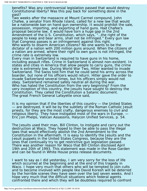benefits? Was any controversial legislation passed that would destroy Constitutional liberty? Was this pay back for something done in the past?

Two weeks after the massacre at Mount Carmel compound, John Chafee, a senator from Rhode Island, called for a new law that would be a nationwide ban on hand gun ownership. It would prohibit the sale, possession, importing, and exporting of hand guns. Had Chafee's proposal become law, it would have torn a huge gap in the 2nd Amendment of the U.S. Constitution, which says, "…the right of the people to keep and bear arms, shall not be infringed." Every gun law that Congress passes is an infringement against this right. Who wants to disarm American citizens? No one wants to be the dictator of a nation with 200 million guns around. When the citizens of a nation are armed, where their right to own guns is not infringed, the crime rate is extremely low.

Every man in Switzerland is required to have guns in his home, including assault rifles. Crime in Switzerland is almost non-existent. In states and cities in America that allow people to carry guns, the crime rate is extremely low. During World War Two, Hitler wanted to invade Switzerland. The Swiss told him that he could send his army across the boarder, but none of his officers would return. Hitler gave the order to invade Switzerland several times, but his officers simply would not obey. Switzerland remained safely neutral all during the war. Who has hated the Constitution from the very beginning? From the very inception of this country, the Jesuits have sought to destroy the Constitution. They called the Constitution a Satanic document. The great French General Lafayette once said,

It is my opinion that if the liberties of this country — the United States — are destroyed, it will be by the subtlety of the Roman Catholic Jesuit priests, for they are the most crafty, dangerous enemies to civil and religious liberty. They have instigated most of the wars in Europe. Eric Jon Phelps, Vatican Assassins, Halycon Unified Services, p. 54.

The Jesuits used their man, Bill Clinton, to instigate and carry out the destruction at Waco. They hoped to then be able to pass the illegal laws that would effectively abolish the 2nd Amendment to the Constitution in the aftermath. It is easy to identify the Jesuits and the Jesuit puppets in the United States Congress, because they are the ones that continually try to get restrictive gun legislation passed. There was another reason for Waco that Bill Clinton disclosed April 19th and 20th of 1993. This statement was made in the Rose Garden and can be found in White House press release documents.

I want to say as I did yesterday, I am very sorry for the loss of life which occurred at the beginning and at the end of this tragedy in Waco. I hope very much that others who will be tempted to join cults and to become involved with people like David Koresh will be deterred by the horrible scenes they have seen over the last seven weeks. And I hope very much that the difficult situations which federal agents confronted there and which they will be doubtless required to confront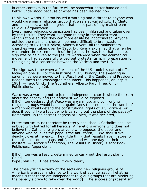in other contexts in the future will be somewhat better handled and better understood because of what has been learned now.

In his own words, Clinton issued a warning and a threat to anyone who would dare join a religious group that was a so-called cult. To Clinton and his agents, a cult is a group that is not part of any mainstream religious organization.

Every major religious organization has been infiltrated and taken over by the Jesuits. They want everyone to stay in the mainstream organizations so that they can more easily be indoctrinated. Anyone outside the main churches will be more difficult to brainwash. According to Ex-Jesuit priest, Alberto Rivera, all the mainstream churches were taken over by 1980. Dr. Rivera explained that when he was under the extreme oath of the Jesuits, he was told that a secret sign was to be given to the Jesuits world-wide when the ecumenical movement had successfully wiped out protestantism, in preparation for the signing of a concordat between the Vatican and the U.S.

The sign was to be when a President of the U.S. took his oath of office facing an obelisk. For the first time in U.S. history, the swearing in ceremonies were moved to the West front of the Capitol, and President Reagan faced the Washington Monument. This happened January 20, 1981. — Jack Chick, The Godfathers, Alberto Part Three, Chick Publications, page 26.

Waco was a warning not to join an independent church where the truth about the papacy and the antichrist would be exposed. Bill Clinton declared that Waco was a warm up, and confronting religious groups would happen again! Does this sound like the words of a manbrac would defend the constitutional rights of U.S. citizens, or does it sound like a Jesuit who is carrying out the plans of the papacy? Remember, in the secret Congress at Chieri, it was declared,

Protestantism must therefore be utterly abolished... Catholics shall be imbued with hatred for all heretics [A heretic is anyone who does not believe the Catholic religion, anyone who opposes the pope, and anyone who believes the pope is the anti-christ].… We shall strike deadly blows at heresy.… They little think that Jesuits have in store for them the censorship gags and flames and will one day be their masters. — Hector Macpherson, The Jesuits in History, Ozark Book Publishers, Appendix I.

Bill Clinton was a Jesuit, determined to carry out the Jesuit plan of Chieri. Pope John Paul II has stated it very clearly.

The proselytizing activity of the sects and new religious groups of America is a grave hindrance to the work of evangelization [what he means is that there are independent religious groups that are hindering the papacy's drive to take over the world]… The success of proselytism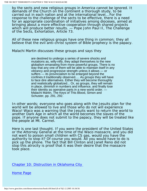by the sects and new religious groups in America cannot be ignored. It demands of the Church on the continent a thorough study, to be carried out in each nation and at the international level… For the response to the challenge of the sects to be effective, there is a need for an appropriate coordination of initiatives among dioceses, aimed at bringing about a more effective cooperation through shared projects which will produce better results. — Pope John Paul II, The Challenge of the Sects, Exhortation, Article 73.

All of these new religious groups have one thing in common; they all believe that the evil anti-christ system of Bible prophecy is the papacy.

Malachi Martin discusses these groups and says they

are destined to undergo a series of severe shocks and mutations as, willy-nilly, they adapt themselves to the new globalism emanating from more powerful groups. There is no way that any one of them will be able to maintain itself in any vibrancy and progressive strength unless it allows — or suffers — its provincialism to be enlarged beyond the confines it traditionally observed.… As groups they will have to face dire alternatives. Either they will become thoroughly and realistically globalized... Or, as groups, they will remain in place, diminish in numbers and influence, and finally lose their identity as operative parts in a new world order. — Malachi Martin, The Keys of This Blood, Simon and Schuster, pp. 291, 292.

In other words; everyone who goes along with the Jesuits plan for the world will be allowed to live and those who do not will experience Waco! Waco was a warning that the Jesuits want to return the world to another Dark Age in which all the world becomes the slaves of the pope. If anyone does not submit to the papacy, they will be treated like the people at Mt. Carmel.

Here is one last thought. If you were the president of the United States or the Attorney General at the time of the Waco massacre, and you did not want to poison small children with CS gas, would you have the authority to stop it? Of course you would. All you would have to do is pick up the phone. The fact that Bill Clinton and Janet Reno did not stop this atrocity is proof that it was their desire that the massacre took place.

[Chapter 10: Distruction in Oklahoma City](#page-77-0) 

[Home Page](http://www.geocities.com/thesecretterrorists)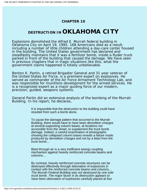## **CHAPTER 10**

# <span id="page-77-0"></span>**DESTRUCTION IN OKLAHOMA CITY**

Explosions demolished the Alfred E. Murrah federal building in Oklahoma City on April 19, 1995. 168 Americans died as a result, including a number of little children attending a day-care center housed in the building. The United States government has declared and steadfastly maintains that it was a fertilizer bomb, inside a Ryder truck parked in front of the building that caused the damage. We have seen in previous chapters that in tragic situations like this, what the government claims happened is totally unbelievable.

Benton K. Partin, a retired Brigadier General and 31 year veteran of the United States Air Force, is a premiere expert on explosives. He served as commander of the Air Force Armament Technology Lab, and was responsible for munitions development for the armed services. He is a recognized expert as a major guiding force of our modern, precision, guided, weapons systems.

General Partin did an extensive analysis of the bombing of the Murrah Building. In his report, he declares,

> It is impossible that the destruction to the building could have resulted from such a bomb alone.

To cause the damage pattern that occurred to the Murrah Building, there would have to have been demolition charges at several supporting column bases, at locations not accessible from the street, to supplement the truck bomb damage. Indeed, a careful examination of photographs showing the collapsed column bases reveals a failure mode produced by demolition charges and not by a blast from the truck bomb…

Blast through air is a very inefficient energy coupling mechanism against heavily reinforced concrete beams and columns…

By contrast, heavily reinforced concrete structures can be destroyed effectively through detonation of explosives in contact with the reinforced concrete beams and columns… The Murrah Federal Building was not destroyed by one sole truck bomb. The major factor in its destruction appears to have been detonation of explosives carefully placed at four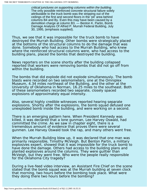critical junctures on supporting columns within the building. The only possible reinforced concrete structural failure solely attributable to the truck bomb was the stripping out of the ceilings of the first and second floors in the 'pit' area behind columns B4 and By. Even this may have been caused by a demolition charge at column B3. — Benton K. Partin, Bomb Damage Analysis Of Alfred P. Murrah Federal Building, July 30, 1995, (emphasis supplied).

Thus, we see that it was impossible for the truck bomb to have destroyed the Murrah Building. Other bombs were strategically placed at the bottoms of the structural columns to do the damage that was done. Somebody who had access to the Murrah Building, who knew where the reinforced structural columns were, who had access to the building plans, placed the bombs that destroyed the building.

News reporters on the scene shortly after the building collapsed reported that workers were removing bombs that did not go off from within the building.

The bombs that did explode did not explode simultaneously. The bomb blasts were recorded on two seismometers, one at the Omniplex Museum, 4.34 miles northeast of the Building, and the other at the University of Oklahoma in Norman, 16.25 miles to the southeast. Both of these seismometers recorded two separate, closely spaced explosions of approximately equal intensity.

Also, several highly credible witnesses reported hearing separate explosions. Shortly after the explosions, the bomb squad defused one unexploded bomb inside the building, and were working on a second.

There is an emerging pattern here. When President Kennedy was killed, it was declared that a lone gunman, Lee Harvey Oswald, had committed the crime. As we saw in chapter eight, there is a tremendous amount of evidence that proves there were several gunmen. Lee Harvey Oswald took the rap, and many others went free.

When the Murrah Building blew up, it was declared that one man was primarily responsible, Timothy McVeigh. But Benton Partin, a military explosives expert, showed that it was impossible for the truck bomb to have done the damage. Others had access to the building plans and planted explosives around the columns. They were guiltier than McVeigh, but they went free. Who were the people really responsible for the Oklahoma City tragedy?

During a live-feed video interview, an Assistant Fire Chief on the scene stated that the bomb squad was at the Murrah building at seven clock that morning, two hours before the bombing took place. What were they doing there two hours before the bombing?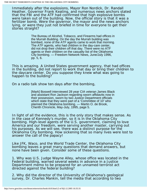Immediately after the explosions, Mayor Ron Nordick, Dr. Randall Heather, Governor Frank Keating, and numerous news anchors stated that the FBI and the ATF had confirmed that high explosive bombs were taken out of the building. Now, the official story is that it was a fertilizer bomb. Were the governor, the mayor and the news anchors lying, or were they just not briefed in time for everyone to get their stories straight?

> The Bureau of Alcohol, Tobacco, and Firearms had offices in the Murrah Building. On the day the Murrah building was bombed, none of the ATF agents came to work that morning. The ATF agents, who had children in the day-care center, did not drop their children off that day. There were no ATF agents or their children on the casualty list of the Oklahoma City bombing. — Freedom Network News, June/July 1996, pp. 5, 6.

This is amazing. A United States government agency, that had offices in the building, did not report to work that day or bring their children to the daycare center. Do you suppose they knew what was going to happen to the building?

On a radio talk show ten days after the bombing,

[Mark] Boswell interviewed 28 year CIA veteran James Black and assistant Ron Jackson regarding sworn affidavits now in their possession, sworn by two Justice Department officials which state that they were part of a 'Committee of 10' who planned the Oklahoma bombing. — Martin O. de Brook, Cherith Chronicle, May-July, 1995, page 5.

In light of all the evidence, this is the only story that makes sense. As in the case of Kennedy's murder, so it is in the Oklahoma City bombing. High-level agents of the U.S. government, claiming to love America and our freedom, were serving another master, carrying out his purposes. As we will see, there was a distinct purpose for the Oklahoma City bombing. How sickening that so many lives were lost to answer the call of the papacy!

Like JFK, Waco, and the World Trade Center, the Oklahoma City bombing leaves a great many questions that demand answers, but none have been given. Consider some of these questions.

1. Why was U.S. Judge Wayne Alley, whose office was located in the Federal building, warned several weeks in advance in a Justice Department memo to be prepared for an unnamed terrorist act directed against the federal building?

2. Why did the director of the University of Oklahoma's geological survey, Dr. Charles Mankin, tell the media that according to two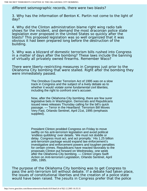different seismographic records, there were two blasts?

3. Why has the information of Benton K. Partin not come to the light of day?

4. Why did the Clinton administration blame right wing radio talk shows for the incident, and demand the most draconian police state legislation ever proposed in the United States so quickly after the blasts? This proposed legislation was so well organized that it was obvious it had been prepared long before the destruction of the building.

5. Why was a blizzard of domestic terrorism bills rushed into Congress in a matter of days after the bombing? These laws include the banning of virtually all privately owned firearms. Remember Waco?

There were liberty-restricting measures in Congress just prior to the Oklahoma City bombing that were stalled. Right after the bombing they were immediately passed.

> The Omnibus Counter Terrorism Act of 1995 was on a slow track in Congress and the subject of a lively debate as to whether it would *violate some fundamental civil liberties*, including the right to confront one's accuser.

> Now, after the Oklahoma City bombing, there are few surer legislative bets in Washington. Democrats and Republicans issued news releases Thursday calling for the bill's quick passage. — Terror in the Heartland: Terrorism Bill Moves Very Fast, Orlando Sentinel, April 21st, 1995 (emphasis supplied).

President Clinton prodded Congress on Friday to move swiftly on his anti-terrorism legislation and avoid political 'endless quibbling' over details. 'We must not doddle or delay. Congress must act, and act promptly.' His 1.25 billion anti-terrorism package would expand law enforcement's investigative and enforcement powers and toughen penalties for certain crimes. Republicans have reacted favorably to the proposals Clinton put forward on Wednesday, one week after the Oklahoma City bombing. — Clinton Urges Swift Action on Anti-terrorism Legislation, Orlando Sentinel, April 29th, 1995.

The purpose of the Oklahoma City bombing was to get Congress to pass the anti-terrorism bill without debate. If a debate had taken place, the issues of constitutional liberties and the creation of a police state would have been raised. The Jesuits in Congress prefer that the police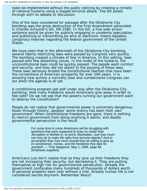state be implemented without the public noticing by creating a climate of national hysteria using a staged terrorist attack. The bill sailed through with no debate or discussion.

One of the laws considered for passage after the Oklahoma City bombing was the gross destruction of the First Amendment advocated in Charles Schumer's bill, HR 2580. In this bill, a five-year prison sentence would be given for publicly engaging in unseemly speculation and publishing or transmitting by wire or electronic means baseless conspiracy theories regarding the federal government of the United States.

We have seen that in the aftermath of the Oklahoma City bombing, several liberty-restricting laws were passed by Congress very quickly. The bombing created a climate of fear in America. In this setting, laws passed with few dissenting voices. In the midst of the hysteria, the unconstitutional laws could be quickly passed. The people want comfort and security, and they did not object to the passing of these laws. These laws seriously eroded the constitutional liberties that have been the cornerstone of American prosperity for over 200 years. It is amazing how quickly a normally slow and cumbersome Congress can act when the agenda is all set.

A conditioning program got well under way after the Oklahoma City bombing. How many freedoms would Americans give away in order to feel safe? Do we not see that the powers running our government want to destroy the Constitution?

People do not realize that governmental power is extremely dangerous. Down through history, peoples' worst enemy has been their own government. When constitutional freedoms are gone, there is nothing to restrict government from doing anything it wants, and deadly governmental persecution is the result.

> For some time to come Americans will be struggling with questions that were supposed to draw no closer than Jerusalem or Belfast or, at worst, Manhattan. Just how much can they do to make life safer from terrorist attacks? And to accomplish that, how much should they be willing to give up in convenience, money, and the freedoms they take for granted? — Time Magazine, May 1, 1995, page 68, (emphasis supplied).

Americans just don't realize that as they give up their freedoms they are not increasing their security, but decreasing it. They are putting themselves at high risk for governmental persecution. Already the government confiscates many hundreds of thousands of dollars worth of personal property each year without a trial. Already human life is not considered sacred anymore. Remember Waco?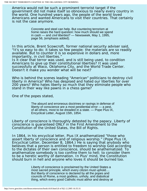America would not be such a prominent terrorist target if the government did not make itself so obnoxious to nearly every country in the world. One hundred years ago, the people of the world loved Americans and wanted Americans to visit their countries. That certainly is not the case anymore.

> Concrete and steel can help. But countering terrorism at home raises the hard question: how much should we spend in cash — and *civil liberties*? — Newsweek, May 1, 1995, page 56, (emphasis added).

In this article, Brent Scowcroft, former national security adviser said, "It's so easy to do; it takes so few people; the materials are so readily available. But to counter it is so expensive in dollars and, more importantly, in civil liberties."

Is it clear that terror was used, and is still being used, to condition Americans to give up their constitutional liberties? It was used successfully at Waco, Oklahoma City, and the World Trade Center. Doesn't it make you wonder what will be next?

Who is behind the scenes leading "American" politicians to destroy civil liberty in America? Who has despised and hated our liberties for over 200 years? Who hates liberty so much that they eliminate people who stand in their way like pawns in a chess game?

One of the popes stated,

The absurd and erroneous doctrines or ravings in defense of liberty of conscience are a most pestilential error — a pest, of all others, most to be dreaded in a state. — Pope Pius IX, Encyclical Letter, August 15th, 1854.

Liberty of conscience is thoroughly detested by the papacy. Liberty of conscience is guaranteed ONLY in the First Amendment to the Constitution of the United States, the Bill of Rights.

In 1864, in his encyclical letter, Pius IX anathematized "those who assert liberty of conscience and of religious worship." (Pope Pius IX, Encyclical Letter, December 8, 1864.) He is saying that anybody who believes that a person is entitled to freedom to worship God according to the dictates of their own conscience, should be anathematized. To anathematize somebody is too confine them to hell; to consider them to be a heretic worthy of damnation. In Pius' mind, the Constitution should burn in hell and anyone who loves it should be burned too.

> Liberty of conscience is proclaimed by the United States a most sacred principle, which every citizen must uphold.... But liberty of conscience is declared by all the popes and councils of Rome, a most godless, unholy, and diabolical thing, which every good Catholic must abhor and destroy at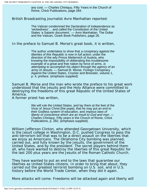any cost. — Charles Chiniquy, Fifty Years in the Church of Rome, Chick Publications, page 284.

British Broadcasting journalist Avro Manhattan reported:

The Vatican condemned the Declaration of Independence as 'wickedness'… and called the Constitution of the United States 'a Satanic document.' — Avro Manhattan, The Dollar and the Vatican, Ozark Book Publishers, page 26.

In the preface to Samuel B. Morse's great book, it is written,

The author undertakes to show that a conspiracy against the liberties of this Republic is now in full action, under the direction of the wily Prince Metternich of Austria, who knowing the impossibility of obliterating this troublesome example of a great and free nation by force of arms, is attempting to accomplish his object through the agency of an army of Jesuits. — Samuel B. Morse, Foreign Conspiracy Against the United States, Crocker and Brewster, volume 1, p. 4, preface. (emphasis supplied)

Samuel B. Morse and the man who wrote the preface to his great work understood that the Jesuits and the Holy Alliance were committed to destroying the freedoms of this great Republic of the United States of America.

A former priest has written,

We will rule the United States, and lay them at the feet of the Vicar of Jesus Christ [the pope], that he may put an end to their Godless system of education, and *impious laws of* liberty of conscience which are an insult to God and man. — Charles Chiniquy, Fifty years in the Church of Rome, Chick Publications, p. 282, (emphasis supplied).

William Jefferson Clinton, who attended Georgetown University, which is the Jesuit college in Washington, D.C. pushed Congress to pass the anti-terrorism bill that was to be a direct assault on the liberties that we enjoy as Americans. The Oklahoma City bombing was planned, carried out, and fully known by the Jesuits, the government of the United States, and by the president. The secret players behind them all, who have wanted to destroy the liberties of this great Republic for the last 200 plus years are the Jesuits of the Roman Catholic Church.

They have wanted to put an end to the laws that guarantee our liberties as United States citizens. In order to bring that about, they carried out the greatest terrorist bombing on U.S. soil, and in U.S. history before the World Trade Center, when they did it again.

More attacks will come. Freedoms will be attacked again and liberty will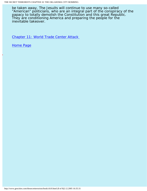be taken away. The Jesuits will continue to use many so-called "American" politicians, who are an integral part of the conspiracy of the papacy to totally demolish the Constitution and this great Republic. They are conditioning America and preparing the people for the inevitable takeover.

[Chapter 11: World Trade Center Attack](#page-85-0) 

[Home Page](http://www.geocities.com/thesecretterrorists)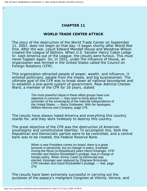<span id="page-85-0"></span> $\lt$ 

### **CHAPTER 11**

#### **WORLD TRADE CENTER ATTACK**

The story of the destruction of the World Trade Center on September 11, 2001, does not begin on that day. It began shortly after World War One. After the war, Jesuit Edward Mandell House and Woodrow Wilson created the League of Nations. When U.S. Senator Henry Cabot Lodge Sr. kept America out of the League. the Jesuits were furious. This must never happen again. So, in 1921, under the influence of House, an organization was formed in the United States called the Council on Foreign Relations (CFR).

This organization attracted people of power, wealth, and influence. It enlisted politicians, people from the media, and big businessmen. The ultimate goal of the CFR was to break down all national boundaries and to establish a one-world system of government. Rear Admiral Chester Ward, a member of the CFR for 16 years, stated:

> The most powerful clique in these elitist groups have one objective in common — they want to bring about the surrender of the sovereignty of the national independence of the United States. — Barry Goldwater, With No Apologies, William Morrow and Company, page 278.

The Jesuits have always hated America and everything this country stands for, and they work tirelessly to destroy this country.

The great objective of the CFR was the destruction of American sovereignty and constitutional liberties. To accomplish this, both the Republican and Democratic parties were to be controlled, and a central bank was to be created, the Federal Reserve Bank.

> When a new President comes on board, there is a great turnover in personnel, but no change in policy. Example: During the Nixon [a Republican] years Henry Kissinger, CFR member and Nelson Rockefeller's protégé, was in charge of foreign policy. When Jimmy Carter [a Democrat] was elected, Kissinger was replaced by Zbigniew Brzezinski, CFR member and David Rockefeller's protégé. — Ibid. page 279.

The Jesuits have been extremely successful in carrying out the purposes of the papacy's malignant Congress at Vienna, Verona, and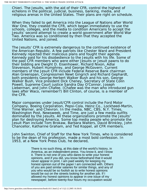Chieri. The Jesuits, with the aid of their CFR, control the highest of echelons in the political, judicial, business, banking, media, and religious arenas in the United States. Their plans are right on schedule.

When they failed to get America into the League of Nations after World War One, they created the CFR, which began immediately to use the schools, colleges, and the media to condition Americans to accept the Jesuits' second attempt to create a world government after World War Two. America was so conditioned by then that they accepted the United Nations, and joined.

The Jesuits' CFR is extremely dangerous to the continued existence of the American Republic. A few patriots like Chester Ward and President Kennedy rejected their malicious plans and fought their agenda. Kennedy paid for his disobedience to the Jesuits with his life. Some of the past CFR members who were either Jesuits or Jesuit pawns to do their bidding are Dwight D. Eisenhower, Richard Nixon, Adlai Stevenson, Hubert Humphrey, and George McGovern. Current members of the Jesuit CFR include Federal Reserve Bank chairman Alan Greenspan, Congressmen Newt Gingrich and Richard Gephardt, both presidents George Herbert Walker Bush and his son, George Walker Bush, Vice president Dick Cheney, Secretary of State Colin Powell, Supreme Court justice Sandra Day O'Connor, Joseph Lieberman, and John Chafee. (Chafee was the man who introduced gun laws after Waco, remember?) Bill Clinton, of course, is a member of the CFR.

Major companies under Jesuit/CFR control include the Ford Motor Company, Boeing Corporation, Pepsi-Cola, Heinz Co., Lockheed-Martin, Time Warner, and Chevron. In the media, NBC, CBS, N.Y. Times, Washington Post, Newsweek, and Time, are just a few media outfits dominated by the Jesuits. All these organizations promote the Jesuits' plan for destroying America. Some top media people who promote the Jesuit Plan include Tom Brokaw, Barbara Walters, David Brinkley, John Chancellor, Katharine Graham, and Ted Koppel, all CFR members.

John Swinton, Chief of Staff for the New York Times, who is considered to be the dean of his profession, made a most bold confession. In 1953, at a New York Press Club, he declared,

> There is no such thing, at this date of the world's history, in America, as an independent press. You know it, and I know it. There is not one of you who dares to write your honest opinions, and if you did, you know beforehand that it would never appear in print. I am paid weekly for keeping my honest opinion out of the paper I am connected with. Others of you are paid similar salaries for similar things, and any of you who would be so foolish as to write honest opinions would be out on the streets looking for another job. If I allowed my honest opinions to appear in one issue of my newspaper, before twenty-four hours my occupation would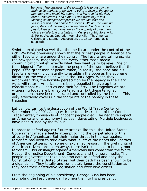be gone. The business of the journalists is to destroy the truth; to lie outright; to pervert; to vilify; to fawn at the feet of mammon, and to sell his country and his race for his daily bread. You know it, and I know it and what folly is this toasting an independent press? We are the tools and vassals of rich men behind the scenes. We are the jumping jacks, they pull the strings and we dance. Our talents, our possibilities and our lives are all the property of other men. We are intellectual prostitutes. — Multiple contributors, A U. S. Police Action: Operation Vampire Killer, The American Citizens and Laumen Association, pp. 18,19, (emphasis supplied).

Swinton explained so well that the media are under the control of the rich. We have previously shown that the richest people in America are either Jesuits or are under their control. The Jesuits are telling us, via the newspapers, magazines, and every other mass-media communication outlet, exactly what they want us to believe. One of their biggest efforts is to make the people of the world believe that the pope is the great man of peace, when, in reality, the pope and his Jesuits are working constantly to establish the pope as the supreme dictator of the world as he was in the Dark Ages. When they accomplish this, the horrible persecution by the papacy in the Dark Ages will return. Americans are being beguiled to give up their constitutional civil liberties and their country. The tragedies we are witnessing today are blamed on terrorists, but these terrorist organizations have been infiltrated and controlled by the Jesuits. This very effectively covers up the footprints of the papacy in these tragedies.

Let us now turn to the destruction of the World Trade Center on September 11, 2001. Along with the total destruction of the World Trade Center, thousands of innocent people died. The negative impact on America and its economy has been devastating. Multiple businesses have been ruined by the fallout.

In order to defend against future attacks like this, the United States Government made a feeble attempt to find the perpetrators of this atrocity in Afghanistan. But their major thrust in this war against terrorism has been to take away what is left of the rights and liberties of American citizens. For some unexplained reason, if the civil rights of American citizens are taken away, there isn't supposed to be any more terrorism. This onslaught against Americans has come from the White House, the Justice Department, Congress, and the news media. The people in government take a solemn oath to defend and obey the Constitution of the United States, but their oath has been shown to be a gigantic lie. They totally and completely ignore the constitution as they pass their destructive legislation and executive orders.

From the beginning of his presidency, George Bush has been promoting the Jesuit agenda. Two months into his presidency,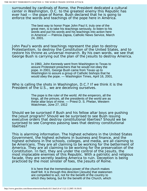surrounded by cardinals of Rome, the President dedicated a cultural center in Washington, D.C. to the greatest enemy this Republic has ever had — the pope of Rome. Bush declared that he is going to enforce the words and teachings of the pope here in America.

> The best way to honor Pope John Paul II, truly one of the great men, is to take his teachings seriously, to listen to his words and put his words and his teachings into action here in America! — Patricia Zapoa, Catholic News Service, March 24, 2001.

John Paul's words and teachings represent the plan to destroy Protestantism, to destroy the Constitution of the United States, and to restore his throne as universal monarch. By his own words, we see that George Bush is carrying out the plan of the Jesuits to destroy America.

> In 1960, John Kennedy went from Washington to Texas to assure Protestant preachers that he would not obey the pope. In 2001, George Bush came from Texas up to Washington to assure a group of Catholic bishops that he would obey the pope. — Washington Times, April 16, 2001.

Who is calling the shots in Washington, D.C.? If we think it is the President of the U.S., we are deceiving ourselves.

> The pope is the ruler of the world. All the emperors, all the kings, all the princes, all the presidents of the world are as these altar boys of mine. — Priest D. S. Phelan, Western Watchman, June 27, 1912

Should we be surprised if Bush and his fellow altar boys are pushing the Jesuit program? Should we be surprised to see Bush issuing executive orders that destroy constitutional liberties? Should we be surprised to see Congress passing laws that destroy constitutional liberties?

This is alarming information. The highest echelons in the United States Government, the highest echelons in business and finance, and the highest echelons in the schools, colleges, and media, are all claiming to be Americans. They are all claiming to be working for the betterment of America. They are all claiming to be working for the preservation of the Constitution. In fact, they are under the control of the Jesuits, the most implacable enemies of this Republic. With a patriotic and religious facade, they are secretly leading America to ruin. Deception is being practiced by the most sinister of foes, the Jesuits of Rome.

> It is here that the tremendous power of the church makes itself felt. It is through this direction [Jesuits] that statesmen are compelled to act, not for the benefit of the country to which they belong, but for the benefit of the Church, which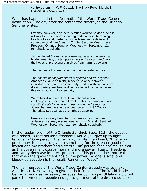controls them. — M. F. Cusack, The Black Pope, Marshall, Russell, and Co., p. 106.

What has happened in the aftermath of the World Trade Center destruction? The day after the center was destroyed the Orlando Sentinel writes,

> Experts, however, say there is much work to be done. And it will involve much more spending and planning, hardening of key facilities and, perhaps, higher taxes and forfeiture of some *personal freedoms*. — Tighter Security Means Less Freedom, Orlando Sentinel, Wednesday, September 12th, (emphasis supplied).

> As the United States faces a new war against uncertain and hidden enemies, the temptation to *sacrifice our freedom* in the hopes of protecting ourselves from harm is powerful.

The danger is that we will end up neither safe nor free.

The constitutional protections of speech and privacy that Americans value so highly reflect a balance between individual liberty and state security. Just how those lines are drawn, history teaches, is directly affected by the perceived threats to our country's security….

We're faced with real threats to national security. The challenge is to meet those threats without endangering our constitutional character or undermining the freedom and liberty that are the source of our power. — USA Today, Thursday, Sept. 13, 2001 (emphasis supplied).

Freedom or safety? Anti terrorism measures may mean forfeiture of some personal freedoms. — Orlando Sentinel, Wednesday, September 12th, (emphasis supplied).

In the reader forum of the Orlando Sentinel, Sept. 12th, the question was raised, "What personal freedoms would you give up to fight terrorism?" One person, the next day, wrote in and said, "I have no problem with having to give up something for the greater good of myself and my brothers and sisters." This person does not realize that as the government usurps more and more power; liberty, freedom, and safety decrease in direct proportion. This person does not realize that when the government has all the power, no one is safe, and bloody persecution is the result. Remember Waco?

The main purpose of the World Trade Center tragedy was to make American citizens willing to give up their freedoms. The World Trade Center attack was necessary because the bombing in Oklahoma did not panic the American people enough to get more of the desired so-called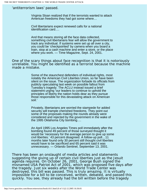'antiterrorism laws' passed.

Virginia Sloan realized that if the terrorists wanted to attack American freedoms they had got some where…

Civil libertarians expect renewed calls for a national identification card….

And that means storing all the face data collected, something civil libertarians fear will allow the government to track any individual. If systems were set up all over a city, you could be 'checkpointed' by camera when you board a train, stop at a cash machine and enter a store, or the place where you work. — Time Magazine, Sept. 24, 2001.

One of the scary things about face recognition is that it is notoriously unreliable. You might be identified as a terrorist because the machine made a mistake.

> Some of the staunchest defenders of individual rights, most notably the American Civil Liberties Union, so far have been silent on the issue. The organization forbade its officials from publicly speculating last week on possible fallout from Tuesday's tragedy. The ACLU instead issued a brief statement urging 'our leaders to continue to uphold the principles of liberty the nation holds dear as they pursue those responsible for this devastating attack on American soil.'

Privately, libertarians are worried the stampede for added security will trample cherished freedoms. They point out some of the proposals making the rounds already were considered and rejected by the government in the wake of the 1995 Oklahoma City bombing….

An April 1995 Los Angeles Times poll immediately after the bombing found 49 percent of those surveyed thought it would be 'necessary for the average person to give up some civil liberties.' 43 percent disagreed. A follow-up poll…11 months later found only 30 percent still thought civil liberties would have to be sacrificed and 65 percent said it was unnecessary. — Orlando Sentinel, September 13, 2001.

There has been an onslaught of media articles and statements suggesting the giving up of certain civil liberties just as the Jesuit agenda requires. On October 26, 2001, George Bush signed the misnamed USA Patriot Act of 2001, which was proposed five days after the tragedy. Just six weeks after the World Trade Center was destroyed, this bill was passed. This is truly amazing. It is virtually impossible for a bill to be conceived, written, debated, and passed this quickly. You see, they already had the bill written before the tragedy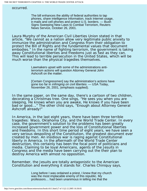#### occurred.

The bill enhances the ability of federal authorities to tap phones, share intelligence information, track Internet usage, e-mails and cell phones and protect U.S. borders. — Bush Signs Sweeping New Laws to Combat Terrorism, Reuters News Service, October 26, 2001.

Laura Murphy of the American Civil Liberties Union stated in that article, "We cannot as a nation allow very legitimate public anxiety to immunize the administration and Congress from their obligation to protect the Bill of Rights and the fundamental values that document embodies." In the name of fighting terrorism, the government is taking away Constitutional liberties and freedoms just as fast as they can. This will lead to terrible persecution in the United States, which will be much worse than the physical tragedies themselves.

> Lawmakers upset with some of the administrations antiterrorism actions will question Attorney General John Ashcroft on the matter.

[Certain Congressmen] say the administration's actions have gone too far in infringing on civil liberties. — USA Today, November 26, 2001, (emphasis supplied).

In the same paper, on the same day, there's a cartoon of two children, decorating a Christmas tree. One sings, "He sees you when you are sleeping, He knows when you are awake, He knows if you have been bad or good…." The other child says, "Enough about Attorney General Ashcroft already!"

In America, in the last eight years, there have been three terrible tragedies: Waco, Oklahoma City, and the World Trade Center. In every case, the government's solution to the problems has been greatly increased government power and the loss of Constitutional liberties and freedoms. In this short time period of eight years, we have seen a very serious despoiling of the Constitution, the greatest document ever created by men. An insidious war is raging against Constitutional liberty in America. In the aftermath of the World Trade Center destruction, this certainly has been the focal point of politicians and media. Claiming to be loyal Americans, agents of the Jesuits in Congress and the media have been carrying out the their plan to destroy America with almost no opposition.

Remember, the Jesuits are totally antagonistic to the American Constitution and everything it stands for. Charles Chiniquy says,

> Long before I was ordained a priest, I knew that my church was the most implacable enemy of this republic. My professors… had been unanimous in telling me that the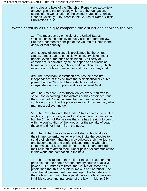principles and laws of the Church of Rome were absolutely antagonistic to the principles which are the foundations stones of the Constitution of the United States of America. Charles Chiniquy, Fifty Years in the Church of Rome, Chick Publications, p. 283.

Watch carefully as Chiniquy compares the distinctions between the two.

1st. The most sacred principle of the United States Constitution is the equality of every citizen before the law. But the fundamental principle of the Church of Rome is the denial of that equality.

2nd. Liberty of conscience is proclaimed by the United States, a most sacred principle which every citizen must uphold, even at the price of his blood. But liberty of conscience is declared by all the popes and councils of Rome, a most godless, unholy, and diabolical thing, which every good Catholic must abhor and destroy at any cost.

3rd. The American Constitution assures the absolute independence of the civil from the ecclesiastical or church power; but the Church of Rome declares that such independence is an impiety and revolt against God.

4th. The American Constitution leaves every man free to serve God according to the dictates of his conscience; but the Church of Rome declares that no man has ever had such a right, and that the pope alone can know and say what man must believe and do.

5th. The Constitution of the United States denies the right for anybody to punish any other for differing from him in religion; but the Church of Rome says that she has the right to punish with the confiscation of their goods, or the penalty of death, those who differ in faith from the pope.

6th. The United States have established schools all over their immense territories, where they invite the peoples to send their children, that they may cultivate their intelligence and become good and useful citizens. But the Church of Rome has publicly cursed all those schools, and forbidden their children to attend them, under pain of excommunication in this world and damnation in the next.

7th. The Constitution of the United States is based on the principle that the people are the primary source of all civil power. But hundreds of times, the Church of Rome has proclaimed that this principle is impious and heretical. She says that all government must rest upon the foundation of the Catholic faith; with the pope alone as the legitimate and infallible source and interpreter of the law. — Ibid. p. 284.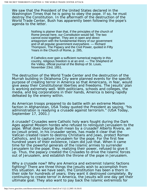We saw that the President of the United States declared in the Washington Times that he is going to obey the pope. If so, he must destroy the Constitution. In the aftermath of the destruction of the World Trade Center, Bush has apparently been following the pope's agenda to the letter.

> Nothing is plainer than that, if the principles of the church of Rome prevail here, our Constitution would fall. The two cannot exist together. They are in open and direct antagonism with the fundamental theory of our government and of all popular government everywhere. — Richard Thompson, The Papacy and the Civil Power, quoted in Fifty Years in the Church of Rome, p. 285,

> If Catholics ever gain a sufficient numerical majority in this country, religious freedom is at an end. — The Shepherd of the Valley, official journal of the Bishop of St. Louis, November 23rd, 1851.

The destruction of the World Trade Center and the destruction of the Murrah building in Oklahoma City were planned events for the specific purpose of creating terror in America so that Americans, in fear, would give away their Constitutional liberties and freedoms. The Jesuits' plan is working extremely well. With politicians, schools and colleges, the media, and big corporations in their hands, America is being rapidly defeated by the enemy within.

As American troops prepared to do battle with an extreme Moslem faction in Afghanistan, USA Today quoted the President as saying, "his administration is readying a crusade against terrorism." (USA Today, September 17, 2001.)

A crusade? Crusades were Catholic holy wars fought during the Dark Ages against Moslem hordes who refused to relinquish Jerusalem to the pope. What does George Bush mean by a crusade? Alberto Rivera, an ex-Jesuit priest, in his crusader series, has made it clear that the Vatican created Islam to destroy Christians and Jews, protect Roman Catholics, and to capture Jerusalem for the pope. For the first few hundred years of their existence, Islam did just that. When it came time for the powerful generals of the Islamic armies to surrender Jerusalem to the pope, they, realizing their power, refused to give it up. Thus, the papacy created the Crusades to drive the Islamic forces out of Jerusalem, and establish the throne of the pope in Jerusalem.

Why a crusade now? Why are America and extremist Islamic factions fighting? There are three things the Jesuits wish to accomplish from this situation. As we have seen, the Constitution has been a thorn in their side for hundreds of years; they want it destroyed completely. By continuing to create terror in America, the Jesuits will one day get their ultimate goal. They also want to pay back the Islamic extremists for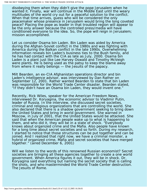disobeying them when they didn't give the pope Jerusalem when he wanted it. Finally, war will continue in the Middle East until the weary multitudes of the world cry out for a peaceful solution to the conflict. When that time arrives, guess who will be considered the only peacemaker whose presence in Jerusalem would bring the long coveted peace? Placing the pope as leader in that troubled region will appear to be the only answer because the controlled press/media will have conditioned everyone to the idea. So, the pope will reign in Jerusalem; mission accomplished.

Let us consider Osama bin Laden. Bin Laden was aided by America during the Afghan-Soviet conflict in the 1980s and was fighting with America during the Balkan conflict in the late 1990s. Overwhelming information reveals bin Laden's business ties to the Bush family, and he has had contact with the CIA as late as July, 2000. Osama bin Laden is a plant just like Lee Harvey Oswald and Timothy McVeigh were plants. He is being used as the patsy to keep the blame away from where it really belongs — the Jesuits of the papacy.

Milt Bearden, an ex-CIA Afghanistan operations director and bin Laden's intelligence advisor, was interviewed by Dan Rather on September 12, 2001. Rather wanted Bearden to state that bin Laden was responsible for the World Trade Center disaster. Bearden stated, "If they didn't have an Osama bin Laden, they would invent one."

Recently, Rick Wiles, speaker for the American Freedom News, interviewed Dr. Koryagina, the economic advisor to Vladimir Putin, leader of Russia. In the interview, she discussed secret societies, criminal and religious organizations that are controlling the world. She also declared that there is a shadow government seeking to bring down the United States and bring in world government. She warned in Moscow, in July of 2001, that the United States would be attacked. She said that when the American people wake up to what is happening to them, and who did it, they will be in a state of shock. "Everybody knows about organized crime and the Mafia. Also people have known for a long time about secret societies and so forth. During my research, I started to notice that those structures can be put together and can be joined. And I realized that right now, we have a criminal monster, a hybrid of organized crime, Mafia and secret societies that have merged together." (aired December 6, 2001)

Will we listen to the words of this renowned Russian economist? Secret societies are bringing all these agencies together to create a one world government. When America figures it out, they will be in shock. Dr. Koryagina said everything but naming the secret society that is calling the shots, and who masterminded the World Trade Center destruction. The Jesuits of Rome.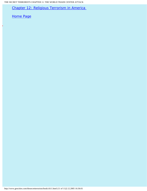[Chapter 12: Religious Terrorism in America](#page-96-0)

[Home Page](http://www.geocities.com/thesecretterrorists)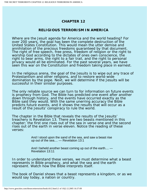## **CHAPTER 12**

## **RELIGIOUS TERRORISM IN AMERICA**

<span id="page-96-0"></span>Where are the Jesuit agenda for America and the world heading? For over 200 years, the goal has been the complete destruction of the United States Constitution. This would mean the utter demise and annihilation of the precious freedoms guaranteed by that document. The right of free speech, free press, freedom of religion or the right to worship God according to the dictates of ones own conscience, the right to bear arms, the right to a fair trail, and the right to personal privacy would all be eliminated. For the past several years, we have seen this war on the Constitution and freedom taking place in earnest.

In the religious arena, the goal of the Jesuits is to wipe out any trace of Protestantism and other religions, and to restore world-wide domination by the pope. Next, we will determine if the Jesuits will be successful in their sinister purposes.

The only reliable source we can turn to for information on future events is prophecy from God. The Bible has predicted one event after another down through history, and the events have occurred exactly as the Bible said they would. With the same unerring accuracy the Bible predicts future events, and it shows the results that will occur as a result of the Jesuits' conspiracy to rule the world.

The chapter in the Bible that reveals the results of the Jesuits' treachery is Revelation 13. There are two beasts mentioned in this chapter; the first one rises out of the sea in verse one and the second rises out of the earth in verse eleven. Notice the reading of these verses:

> And I stood upon the sand of the sea, and saw a beast rise up out of the sea.... — Revelation 13:1

> And I beheld another beast coming up out of the earth.... — Revelation 13:11

In order to understand these verses, we must determine what a beast represents in Bible prophecy, and what the sea and the earth represent. Watch how the Bible interprets itself.

The book of Daniel shows that a beast represents a kingdom, or as we would say today, a nation or country.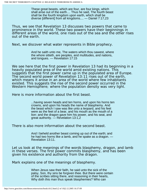These great beasts, which are four, are four kings, which shall arise out of the earth.... Thus he said, The fourth beast shall be the fourth kingdom upon earth, which shall be diverse [different] from all kingdoms.... — Daniel 7:17,23

Thus, we see that Revelation 13 discusses two powers that came to prominence in the world. These two powers have their beginnings in different areas of the world, one rises out of the sea and the other rises out of the earth.

Next, we discover what water represents in Bible prophecy.

And he saith unto me, The waters which thou sawest, where the whore sitteth, are peoples, and multitudes, and nations, and tongues. — Revelation 17:15

We see here that the first power in Revelation 13 had its beginning in a heavily populated area of the world amid existing nations. This suggests that the first power came up in the populated area of Europe. The second world power of Revelation 13:11 rises out of the earth, which means it arose in an area of the world where few inhabitants existed. This suggests the rise of the second power occurred in the Western Hemisphere; where the population density was very light.

Here is more information about the first beast.

...having seven heads and ten horns, and upon his horns ten crowns, and upon his heads the name of blasphemy. And the beast which I saw was like unto a leopard, and his feet were as the feet of a bear, and his mouth as the mouth of a lion: and the dragon gave him his power, and his seat, and great authority. — Revelation 13:1,2

There is also more information about the second beast.

And I beheld another beast coming up out of the earth; and he had two horns like a lamb, and he spake as a dragon. — Revelation 13:11.

Let us look at the meanings of the words blasphemy, dragon, and lamb in these verses. The first power commits blasphemy, and has been given his existence and authority from the dragon.

Mark explains one of the meanings of blasphemy.

When Jesus saw their faith, he said unto the sick of the palsy, Son, thy sins be forgiven thee. But there were certain of the scribes sitting there, and reasoning in their hearts, Why doth this man thus speak blasphemies? Who can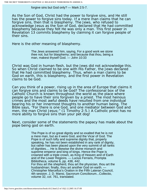forgive sins but God only? — Mark 2:5-7.

As the Son of God, Christ had the power to forgive sins, and He still has the power to forgive sins today. If a mere man claims that he can forgive sins, then that is blasphemy. The Jews, who refused to acknowledge Jesus as the Son of God, declared that He had committed blasphemy because they felt He was only a man. This first power in Revelation 13 commits blasphemy by claiming it can forgive people of their sins.

Here is the other meaning of blasphemy.

The Jews answered him, saying, For a good work we stone thee not; but for blasphemy; and because that thou, being a man, makest thyself God. — John 10:33

Christ was God in human flesh, but the Jews did not acknowledge this. So when Christ claimed to be one with His Father, the Jews declared that He had committed blasphemy. Thus, when a man claims to be God on earth, this is blasphemy, and the first power in Revelation claims to be God.

Can you think of a power, rising up in the area of Europe that claims it can forgive sins and claims to be God? The confessional box of the Catholic Church is known throughout the world as the place where people go to have their sins forgiven by a priest. The most heinous crimes and the most awful deeds have resulted from one individual bearing his or her innermost thoughts to another human being. The Bible says, "For there is one God, and one mediator between God and men, the man Christ Jesus;" (1 Timothy 2:5.) A Catholic priest has no more ability to forgive sins than your pet dog!

Next, consider some of the statements the papacy has made about the pope being god on earth.

> The Pope is of so great dignity and so exalted that he is not a mere man, but as it were God, and the Vicar of God. The Pope is of such lofty and supreme dignity that, properly speaking, he has not been established in any rank of dignity, but rather has been placed upon the very summit of all ranks of dignities.... He is likewise the divine monarch and supreme emperor and king of kings. Hence the Pope is crowned with a triple crown, as King of Heaven and of Earth and of the Lower Regions. — Lucius Ferraris, Prompta Bibliotheca, volume 6, pp. 438, 442. For thou art the shepherd, thou art the physician, thou art the husbandman; finally, thou art another God on earth. -Christopher Marcellus's Oration in the Fifth Lateran Council, 4th session. J. D. Mansi, Sacrorum Conciliorum...Collectio, volume 32, col. 761, translated.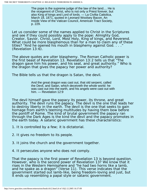The pope is the supreme judge of the law of the land.... He is the vicegerent of Christ, who is not only a Priest forever, but also King of kings and Lord of lords. — La Civilta Cattolica, March 18, 1871, quoted in Leonard Woolsey Bacon, An Inside View of the Vatican Council, American Tract Society, p. 229.

Let us consider some of the names applied to Christ in the Scriptures and see if they could possibly apply to the pope: Almighty God, Creator, Savior, Christ, Lord, Most Holy, King of kings, and Reverend. What could be more blasphemous than for a man to claim any of these titles? "And he opened his mouth in blasphemy against God. . . ." (Revelation 13:6).

The above quotes are utter blasphemy. The Roman Catholic power is the first beast of Revelation 13. Revelation 13:2 tells us that "The dragon gave him his power, and his seat, and great authority." Who is the dragon that gives the papacy her power and authority?

The Bible tells us that the dragon is Satan, the devil.

And the great dragon was cast out, that old serpent, called the Devil, and Satan, which deceiveth the whole world: he was cast out into the earth, and his angels were cast out with him. — Revelation 12:9

The devil himself gave the papacy its power, its throne, and great authority. The devil runs the papacy. The devil is the one that leads her to destroy liberty in the earth. The devil is the one that seeks to gain homage from earth's teeming multitudes by having them bow before the pontiff of Rome. The kind of brutal government the papacy ran through the Dark Ages is the kind the devil and the papacy promotes in the earth today. A satanic government has these characteristics:

- 1. It is controlled by a few; it is dictatorial.
- 2. It gives no freedom to its people.
- 3. It joins the church and the government together.
- 4. It persecutes anyone who does not comply.

That the papacy is the first power of Revelation 13 is beyond question. However, who is the second power of Revelation 13? We know that it rises in the Western Hemisphere and "he had two horns like a lamb, and he spake as a dragon" (Verse 11). This verse indicates that the government started out lamb-like, being freedom-loving and just, but it ends up resembling a papal style or satanic government.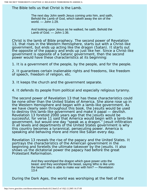The Bible tells us that Christ is the Lamb.

The next day John seeth Jesus coming unto him, and saith, Behold the Lamb of God, which taketh away the sin of the world. — John 1:29.

And looking upon Jesus as he walked, he saith, Behold the Lamb of God. — John 1:36.

Christ is the lamb of Bible prophecy. The second power of Revelation 13, that rises in the Western Hemisphere, starts out with a Christ-like government, but ends up acting like the dragon (Satan). It starts out the opposite of the papacy and ends up just like her. Since a Christ-like government is opposite of a Satanic government, then the second power would have these characteristics at its beginning:

1. It is a government of the people, by the people, and for the people.

2. It guarantees certain inalienable rights and freedoms, like freedom of speech, freedom of religion, etc.

3. It keeps the church and the government separate.

4. It defends its people from political and especially religious tyranny.

The second power of Revelation 13 that has these characteristics could be none other than the United States of America. She alone rose up in the Western Hemisphere and began with a lamb-like government. As we have clearly seen throughout this book, the Jesuits would be used to destroy this lamb-like government and make it papal — devilish. Revelation 13 foretold 2000 years ago that the Jesuits would be successful, for verse 11 said that America would begin with a lamb-like government, but would one day "speak as a dragon." Jesuit infiltration in all levels and departments of the United States government is why this country becomes a tyrannical, persecuting power. America is speaking and behaving more and more like Satan every day.

Revelation 13 reveals the rise of the papacy and the United States. It portrays the characteristics of the American government in the beginning and foretells the ultimate takeover by the Jesuits. It also shows us the dictatorial power the papacy had before the great Protestant Reformation.

> And they worshiped the dragon which gave power unto the beast: and they worshiped the beast, saying Who is like unto the beast? who is able to make war with him? — Revelation 13:4

During the Dark Ages, the world was worshiping at the feet of the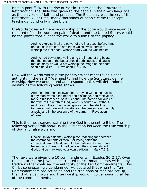Roman pontiff. With the rise of Martin Luther and the Protestant Reformation, the Bible was given to the people in their own language as the only rule of faith and practice. The Bible only was the cry of the Reformers. Over time, many thousands of people came to accept teachings found only in the Bible.

It also discloses a time when worship of the pope would once again be required of all the world on pain of death, and the United States would be the power that pushes the world to submit to the papacy.

> And he exerciseth all the power of the first beast before him, and causeth the earth and them which dwell therein to worship the first beast, whose deadly wound was healed.

And he had power to give life unto the image of the beast, that the image of the beast should both speak, and cause that as many as would not worship the image of the beast should be killed. — Revelation 13:12,15

How will the world worship the papacy? What mark reveals papal authority in the earth? We need to find how the Scriptures define worship. How we understand and respond to this will determine our destiny as the following verse shows.

> And the third angel followed them, saying with a loud voice, If any man worship the beast and his image, and receive his mark in his forehead, or in his hand, The same shall drink of the wine of the wrath of God, which is poured out without mixture into the cup of his indignation; and he shall be tormented with fire and brimstone in the presence of the holy angels, and in the presence of the Lamb: — Revelation 14:9,10.

This is the most severe warning from God in the entire Bible. The following verses will show us the distinction between the true worship of God and false worship.

> Howbeit in vain do they worship me, teaching for doctrines the commandments of men. For laying aside the commandment of God, ye hold the tradition of men…. And he said unto them, Full well ye reject the commandment of God, that ye may keep your own tradition. — Mark 7:7-9.

The Jews were given the 10 commandments in Exodus 20:2-17. Over the centuries, the Jews had corrupted the commandments with many traditions that confused the authority of the Ten Commandments. This Christ so unsparingly condemned. He declared that when the Ten Commandments are set aside and the traditions of men are set up, then that is vain worship. True worship would involve honoring all ten of the commandments.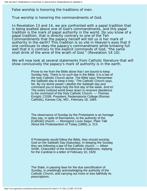False worship is honoring the traditions of men.

True worship is honoring the commandments of God.

In Revelation 13 and 14, we are confronted with a papal tradition that is being exalted above one of God's commandments, and this papal tradition is the mark of papal authority in the world. Do you know of a papal tradition, that is directly contrary to one of the Ten Commandments that the papacy herself will tell us is her mark of authority in the earth? This tradition is so vile in Heaven's eyes that if one continues to obey the papacy's commandment while knowing full well that it is contrary to the explicit commands of God, "the same shall drink of the wine of the wrath of God." (Revelation 14:10).

We will now look at several statements from Catholic literature that will show conclusively the papacy's mark of authority is in the earth.

> Prove to me from the Bible alone that I am bound to keep Sunday holy. There is no such law in the Bible. It is a law of the holy Catholic Church alone. The Bible says 'Remember the Sabbath day to keep it holy.' The Catholic Church says, No. By my divine power I abolish the Sabbath day and command you to keep holy the first day of the week. And lo! The entire civilized world bows down in reverent obedience to the command of the Holy Catholic Church. — Thomas Enright, CSSR, President, Redemptorist College (Roman Catholic), Kansas City, MO., February 18, 1884.

> The observance of Sunday by the Protestants is an homage they pay, in spite of themselves, to the authority of the [Catholic] church. — Monsignor Louis Segur, Plain Talk About the Protestantism of Today (1868), p. 213.

> If Protestants would follow the Bible, they should worship God on the Sabbath Day [Saturday]. In keeping the Sunday they are following a law of the Catholic church. — Albert Smith, Chancellor of the Archdiocese of Baltimore, replying for the Cardinal in a letter of February 10, 1920.

The State, in passing laws for the due sanctification of Sunday, is unwittingly acknowledging the authority of the Catholic Church, and carrying out more or less faithfully its prescriptions.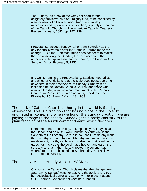The Sunday, as a day of the week set apart for the obligatory public worship of Almighty God, to be sanctified by a suspension of all servile labor, trade, and worldly avocations and by exercises of devotion, is purely a creation of the Catholic Church. — The American Catholic Quarterly Review, January, 1883, pp. 152, 139.

Protestants... accept Sunday rather than Saturday as the day for public worship after the Catholic Church made the change.... But the Protestant mind does not seem to realize that...in observing the Sunday, they are accepting the authority of the spokesman for the church, the Pope. — Our Sunday Visitor, February 5, 1950.

It is well to remind the Presbyterians, Baptists, Methodists, and all other Christians, that the Bible does not support them anywhere in their observance of Sunday. Sunday is an institution of the Roman Catholic Church, and those who observe the day observe a commandment of the Catholic Church. — Priest Brady, in an address, reported in the Elizabeth, N.J. "News," March 18, 1903.

The mark of Catholic Church authority in the world is Sunday observance. This is a tradition that has no place in the Bible. It originated in Rome, and when we honor the Sunday tradition, we are paying homage to the papacy. Sunday goes directly contrary to the plain teaching of the fourth commandment, which declares

> Remember the Sabbath day, to keep it holy. Six days shalt thou labor, and do all thy work: but the seventh day is the Sabbath of the Lord thy God: in it thou shalt not do any work, thou, nor thy son, nor thy daughter, thy manservant, nor thy maidservant, nor thy cattle, nor thy stranger that is within thy gates: for in six days the Lord made heaven and earth, the sea, and all that in them is, and rested the seventh day: wherefore the Lord blessed the Sabbath day, and hallowed it. — Exodus 20:8-11.

The papacy tells us exactly what its MARK is.

Of course the Catholic Church claims that the change [from Saturday to Sunday] was her act. And the act is a MARK of her ecclesiastical power and authority in religious matters. — C. F. Thomas, Chancellor of Cardinal Gibbons.